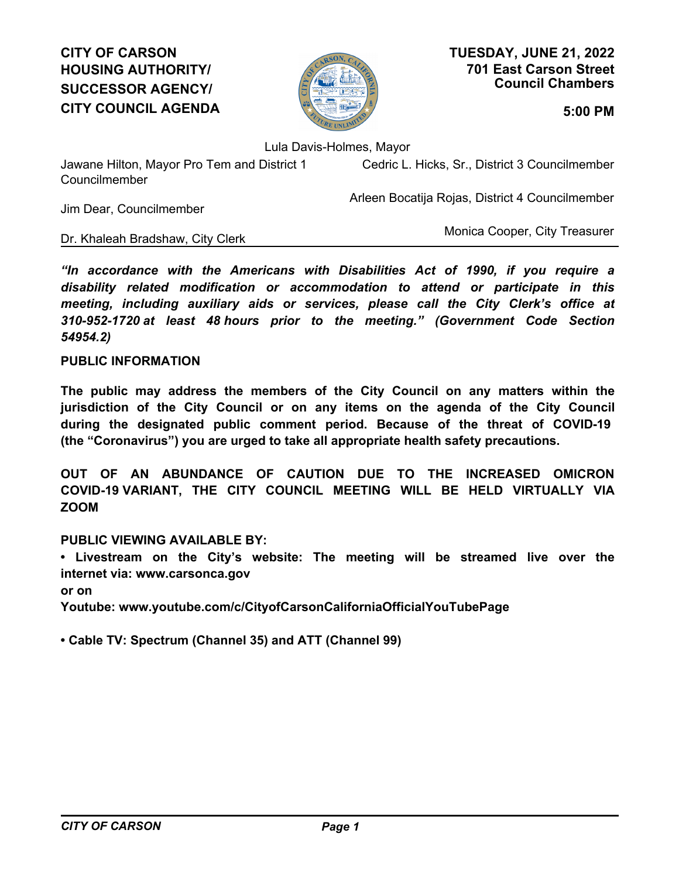# **CITY OF CARSON HOUSING AUTHORITY/ SUCCESSOR AGENCY/ CITY COUNCIL AGENDA 5:00 PM**



**701 East Carson Street Council Chambers TUESDAY, JUNE 21, 2022**

Lula Davis-Holmes, Mayor

Jawane Hilton, Mayor Pro Tem and District 1 Councilmember

Cedric L. Hicks, Sr., District 3 Councilmember

Arleen Bocatija Rojas, District 4 Councilmember

Jim Dear, Councilmember

Dr. Khaleah Bradshaw, City Clerk

Monica Cooper, City Treasurer

*"In accordance with the Americans with Disabilities Act of 1990, if you require a disability related modification or accommodation to attend or participate in this meeting, including auxiliary aids or services, please call the City Clerk's office at 310-952-1720 at least 48 hours prior to the meeting." (Government Code Section 54954.2)*

## **PUBLIC INFORMATION**

**The public may address the members of the City Council on any matters within the jurisdiction of the City Council or on any items on the agenda of the City Council during the designated public comment period. Because of the threat of COVID-19 (the "Coronavirus") you are urged to take all appropriate health safety precautions.**

**OUT OF AN ABUNDANCE OF CAUTION DUE TO THE INCREASED OMICRON COVID-19 VARIANT, THE CITY COUNCIL MEETING WILL BE HELD VIRTUALLY VIA ZOOM**

### **PUBLIC VIEWING AVAILABLE BY:**

**• Livestream on the City's website: The meeting will be streamed live over the internet via: www.carsonca.gov** 

**or on** 

**Youtube: www.youtube.com/c/CityofCarsonCaliforniaOfficialYouTubePage**

**• Cable TV: Spectrum (Channel 35) and ATT (Channel 99)**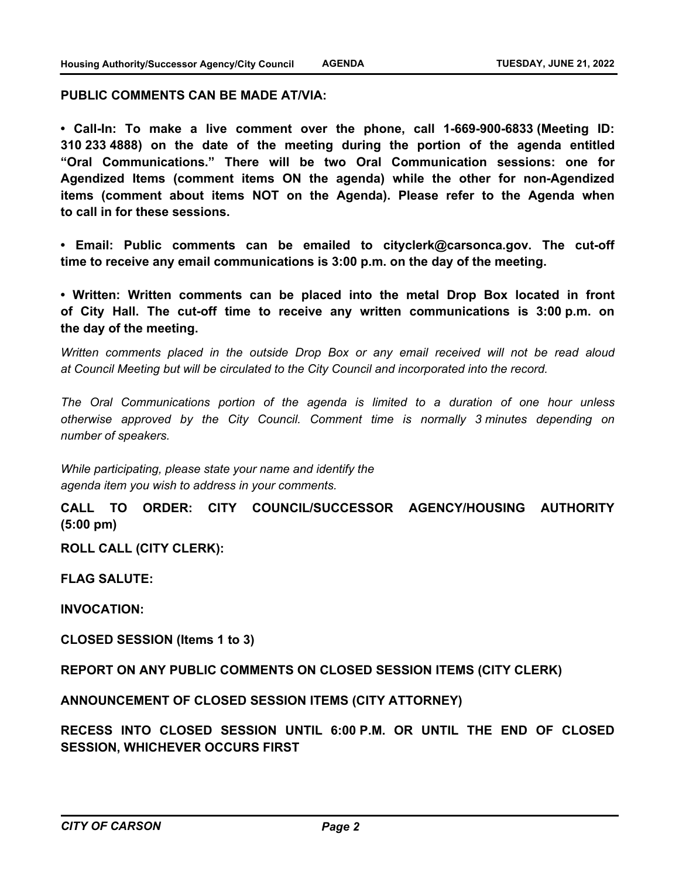#### **PUBLIC COMMENTS CAN BE MADE AT/VIA:**

**• Call-In: To make a live comment over the phone, call 1-669-900-6833 (Meeting ID: 310 233 4888) on the date of the meeting during the portion of the agenda entitled "Oral Communications." There will be two Oral Communication sessions: one for Agendized Items (comment items ON the agenda) while the other for non-Agendized items (comment about items NOT on the Agenda). Please refer to the Agenda when to call in for these sessions.**

**• Email: Public comments can be emailed to cityclerk@carsonca.gov. The cut-off time to receive any email communications is 3:00 p.m. on the day of the meeting.**

**• Written: Written comments can be placed into the metal Drop Box located in front of City Hall. The cut-off time to receive any written communications is 3:00 p.m. on the day of the meeting.**

*Written comments placed in the outside Drop Box or any email received will not be read aloud at Council Meeting but will be circulated to the City Council and incorporated into the record.*

*The Oral Communications portion of the agenda is limited to a duration of one hour unless otherwise approved by the City Council. Comment time is normally 3 minutes depending on number of speakers.*

*While participating, please state your name and identify the agenda item you wish to address in your comments.*

**CALL TO ORDER: CITY COUNCIL/SUCCESSOR AGENCY/HOUSING AUTHORITY (5:00 pm)**

**ROLL CALL (CITY CLERK):**

**FLAG SALUTE:**

**INVOCATION:**

**CLOSED SESSION (Items 1 to 3)**

**REPORT ON ANY PUBLIC COMMENTS ON CLOSED SESSION ITEMS (CITY CLERK)**

**ANNOUNCEMENT OF CLOSED SESSION ITEMS (CITY ATTORNEY)**

**RECESS INTO CLOSED SESSION UNTIL 6:00 P.M. OR UNTIL THE END OF CLOSED SESSION, WHICHEVER OCCURS FIRST**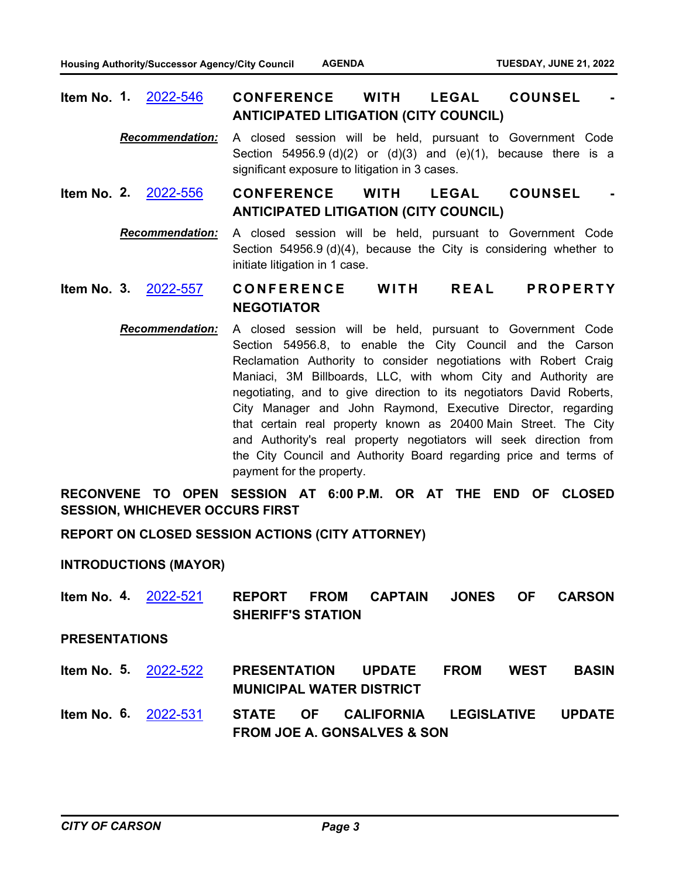| <b>Item No. 1. 2022-546</b>                  |  | <b>CONFERENCE</b> | <b>WITH</b> | <b>LEGAL</b> | <b>COUNSEL</b> |  |
|----------------------------------------------|--|-------------------|-------------|--------------|----------------|--|
| <b>ANTICIPATED LITIGATION (CITY COUNCIL)</b> |  |                   |             |              |                |  |

- *Recommendation:* A closed session will be held, pursuant to Government Code Section  $54956.9$  (d)(2) or (d)(3) and (e)(1), because there is a significant exposure to litigation in 3 cases.
- **CONFERENCE WITH LEGAL COUNSEL ANTICIPATED LITIGATION (CITY COUNCIL) Item No. 2.** [2022-556](http://carson.legistar.com/gateway.aspx?m=l&id=/matter.aspx?key=10487)
	- *Recommendation:* A closed session will be held, pursuant to Government Code Section 54956.9 (d)(4), because the City is considering whether to initiate litigation in 1 case.

#### CONFERENCE WITH REAL PROPERTY **NEGOTIATOR Item No. 3.** [2022-557](http://carson.legistar.com/gateway.aspx?m=l&id=/matter.aspx?key=10488)

*Recommendation:* A closed session will be held, pursuant to Government Code Section 54956.8, to enable the City Council and the Carson Reclamation Authority to consider negotiations with Robert Craig Maniaci, 3M Billboards, LLC, with whom City and Authority are negotiating, and to give direction to its negotiators David Roberts, City Manager and John Raymond, Executive Director, regarding that certain real property known as 20400 Main Street. The City and Authority's real property negotiators will seek direction from the City Council and Authority Board regarding price and terms of payment for the property.

**RECONVENE TO OPEN SESSION AT 6:00 P.M. OR AT THE END OF CLOSED SESSION, WHICHEVER OCCURS FIRST**

**REPORT ON CLOSED SESSION ACTIONS (CITY ATTORNEY)**

**INTRODUCTIONS (MAYOR)**

**REPORT FROM CAPTAIN JONES OF CARSON SHERIFF'S STATION Item No. 4.** [2022-521](http://carson.legistar.com/gateway.aspx?m=l&id=/matter.aspx?key=10452)

**PRESENTATIONS**

- **PRESENTATION UPDATE FROM WEST BASIN MUNICIPAL WATER DISTRICT Item No. 5.** [2022-522](http://carson.legistar.com/gateway.aspx?m=l&id=/matter.aspx?key=10453)
- **STATE OF CALIFORNIA LEGISLATIVE UPDATE FROM JOE A. GONSALVES & SON Item No. 6.** [2022-531](http://carson.legistar.com/gateway.aspx?m=l&id=/matter.aspx?key=10462)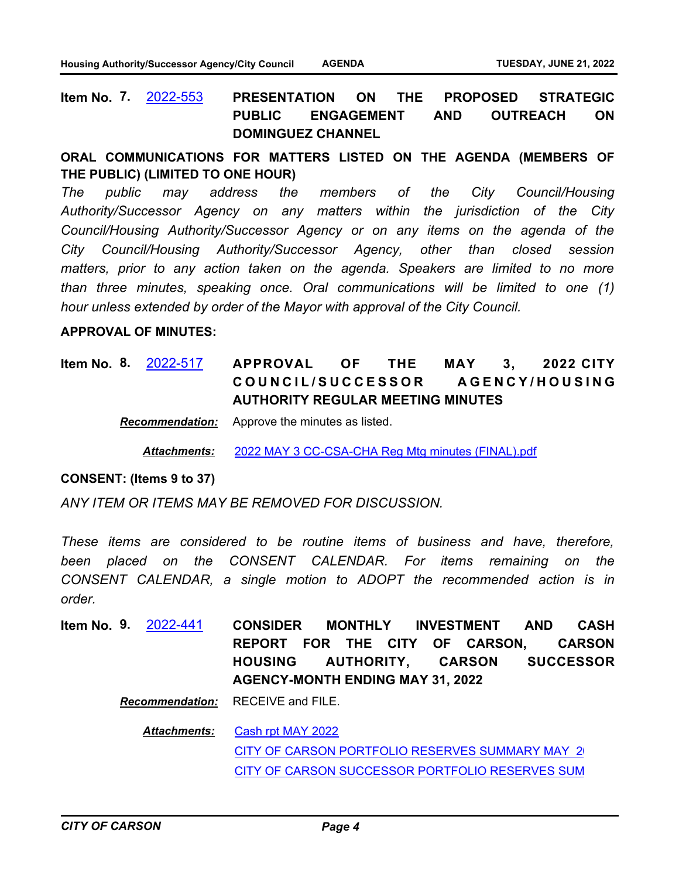**PRESENTATION ON THE PROPOSED STRATEGIC PUBLIC ENGAGEMENT AND OUTREACH ON DOMINGUEZ CHANNEL Item No. 7.** [2022-553](http://carson.legistar.com/gateway.aspx?m=l&id=/matter.aspx?key=10484)

### **ORAL COMMUNICATIONS FOR MATTERS LISTED ON THE AGENDA (MEMBERS OF THE PUBLIC) (LIMITED TO ONE HOUR)**

*The public may address the members of the City Council/Housing Authority/Successor Agency on any matters within the jurisdiction of the City Council/Housing Authority/Successor Agency or on any items on the agenda of the City Council/Housing Authority/Successor Agency, other than closed session matters, prior to any action taken on the agenda. Speakers are limited to no more than three minutes, speaking once. Oral communications will be limited to one (1) hour unless extended by order of the Mayor with approval of the City Council.*

#### **APPROVAL OF MINUTES:**

#### **APPROVAL OF THE MAY 3, 2022 CITY**  COUNCIL/SUCCESSOR AGENCY/HOUSING **AUTHORITY REGULAR MEETING MINUTES Item No. 8.** [2022-517](http://carson.legistar.com/gateway.aspx?m=l&id=/matter.aspx?key=10448)

*Recommendation:* Approve the minutes as listed.

*Attachments:* [2022 MAY 3 CC-CSA-CHA Reg Mtg minutes \(FINAL\).pdf](http://carson.legistar.com/gateway.aspx?M=F&ID=a00a9805-1a9f-44a0-a1c1-071e31b9c2dd.pdf)

#### **CONSENT: (Items 9 to 37)**

*ANY ITEM OR ITEMS MAY BE REMOVED FOR DISCUSSION.* 

*These items are considered to be routine items of business and have, therefore, been placed on the CONSENT CALENDAR. For items remaining on the CONSENT CALENDAR, a single motion to ADOPT the recommended action is in order.*

**CONSIDER MONTHLY INVESTMENT AND CASH REPORT FOR THE CITY OF CARSON, CARSON HOUSING AUTHORITY, CARSON SUCCESSOR AGENCY-MONTH ENDING MAY 31, 2022 Item No. 9.** [2022-441](http://carson.legistar.com/gateway.aspx?m=l&id=/matter.aspx?key=10372)

*Recommendation:* RECEIVE and FILE.

[Cash rpt MAY 2022](http://carson.legistar.com/gateway.aspx?M=F&ID=1ffe96f3-4664-4313-821e-e125f30a1da6.pdf) CITY OF CARSON PORTFOLIO RESERVES SUMMARY MAY 2 [CITY OF CARSON SUCCESSOR PORTFOLIO RESERVES SUM](http://carson.legistar.com/gateway.aspx?M=F&ID=68971e9e-a9a3-4255-9b49-fbe2f67785fb.pdf) *Attachments:*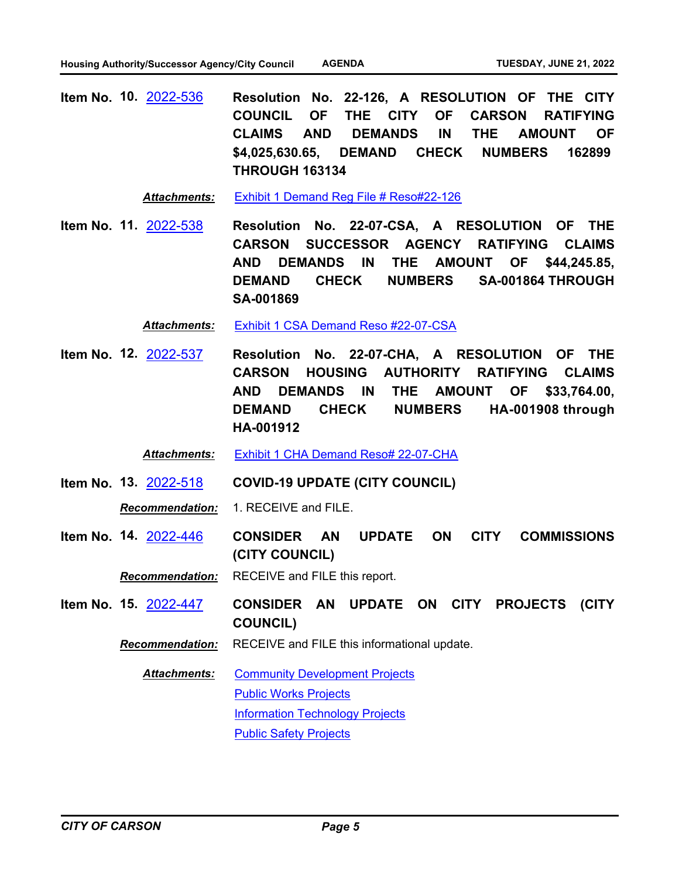**Resolution No. 22-126, A RESOLUTION OF THE CITY COUNCIL OF THE CITY OF CARSON RATIFYING CLAIMS AND DEMANDS IN THE AMOUNT OF \$4,025,630.65, DEMAND CHECK NUMBERS 162899 THROUGH 163134 Item No. 10.** [2022-536](http://carson.legistar.com/gateway.aspx?m=l&id=/matter.aspx?key=10467)

*Attachments:* [Exhibit 1 Demand Reg File # Reso#22-126](http://carson.legistar.com/gateway.aspx?M=F&ID=f97d30ed-b0ba-4517-9a81-9d9f44cafea6.pdf)

**Resolution No. 22-07-CSA, A RESOLUTION OF THE CARSON SUCCESSOR AGENCY RATIFYING CLAIMS AND DEMANDS IN THE AMOUNT OF \$44,245.85, DEMAND CHECK NUMBERS SA-001864 THROUGH SA-001869 Item No. 11.** [2022-538](http://carson.legistar.com/gateway.aspx?m=l&id=/matter.aspx?key=10469)

*Attachments:* [Exhibit 1 CSA Demand Reso #22-07-CSA](http://carson.legistar.com/gateway.aspx?M=F&ID=15b1d5e8-c5a2-4946-9620-8bd5b4af3bee.pdf)

**Resolution No. 22-07-CHA, A RESOLUTION OF THE CARSON HOUSING AUTHORITY RATIFYING CLAIMS AND DEMANDS IN THE AMOUNT OF \$33,764.00, DEMAND CHECK NUMBERS HA-001908 through HA-001912 Item No. 12.** [2022-537](http://carson.legistar.com/gateway.aspx?m=l&id=/matter.aspx?key=10468)

*Attachments:* [Exhibit 1 CHA Demand Reso# 22-07-CHA](http://carson.legistar.com/gateway.aspx?M=F&ID=ed0c8095-510f-4b4f-a317-2b35cec9b213.pdf)

**Item No. 13.** [2022-518](http://carson.legistar.com/gateway.aspx?m=l&id=/matter.aspx?key=10449) **COVID-19 UPDATE (CITY COUNCIL)**

*Recommendation:* 1. RECEIVE and FILE.

**CONSIDER AN UPDATE ON CITY COMMISSIONS (CITY COUNCIL) Item No. 14.** [2022-446](http://carson.legistar.com/gateway.aspx?m=l&id=/matter.aspx?key=10377)

*Recommendation:* RECEIVE and FILE this report.

- **CONSIDER AN UPDATE ON CITY PROJECTS (CITY COUNCIL) Item No. 15.** [2022-447](http://carson.legistar.com/gateway.aspx?m=l&id=/matter.aspx?key=10378)
	- *Recommendation:* RECEIVE and FILE this informational update.

[Community Development Projects](http://carson.legistar.com/gateway.aspx?M=F&ID=cf23ac36-58b5-4ebf-8478-1d1038d9c66c.pdf) [Public Works Projects](http://carson.legistar.com/gateway.aspx?M=F&ID=33b5d98b-7d3f-4a6e-81bc-7e97ecd073ef.pdf) [Information Technology Projects](http://carson.legistar.com/gateway.aspx?M=F&ID=ee6b83cc-91f3-4604-83ec-a31d4f224309.pdf) [Public Safety Projects](http://carson.legistar.com/gateway.aspx?M=F&ID=0d31137d-6029-4578-a1f1-9762a2462bda.pdf) *Attachments:*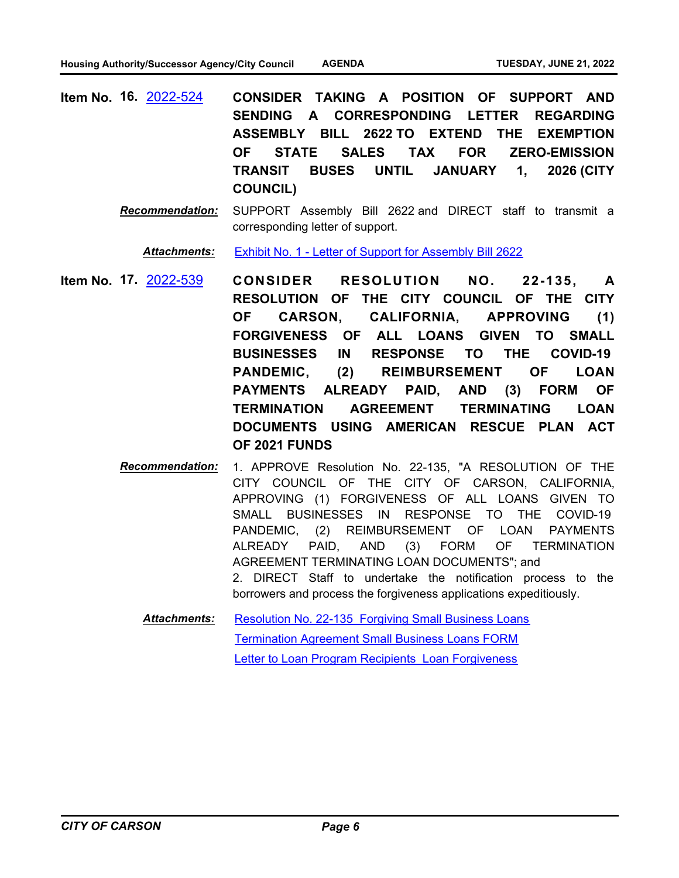**CONSIDER TAKING A POSITION OF SUPPORT AND SENDING A CORRESPONDING LETTER REGARDING ASSEMBLY BILL 2622 TO EXTEND THE EXEMPTION OF STATE SALES TAX FOR ZERO-EMISSION TRANSIT BUSES UNTIL JANUARY 1, 2026 (CITY COUNCIL) Item No. 16.** [2022-524](http://carson.legistar.com/gateway.aspx?m=l&id=/matter.aspx?key=10455)

> *Recommendation:* SUPPORT Assembly Bill 2622 and DIRECT staff to transmit a corresponding letter of support.

Attachments: [Exhibit No. 1 - Letter of Support for Assembly Bill 2622](http://carson.legistar.com/gateway.aspx?M=F&ID=025a7743-568e-44e5-9b76-4c4f66ef5aa3.pdf)

- **CONSIDER RESOLUTION NO. 22-135, A RESOLUTION OF THE CITY COUNCIL OF THE CITY OF CARSON, CALIFORNIA, APPROVING (1) FORGIVENESS OF ALL LOANS GIVEN TO SMALL BUSINESSES IN RESPONSE TO THE COVID-19 PANDEMIC, (2) REIMBURSEMENT OF LOAN PAYMENTS ALREADY PAID, AND (3) FORM OF TERMINATION AGREEMENT TERMINATING LOAN DOCUMENTS USING AMERICAN RESCUE PLAN ACT OF 2021 FUNDS Item No. 17.** [2022-539](http://carson.legistar.com/gateway.aspx?m=l&id=/matter.aspx?key=10470)
	- *Recommendation:* 1. APPROVE Resolution No. 22-135, "A RESOLUTION OF THE CITY COUNCIL OF THE CITY OF CARSON, CALIFORNIA, APPROVING (1) FORGIVENESS OF ALL LOANS GIVEN TO SMALL BUSINESSES IN RESPONSE TO THE COVID-19 PANDEMIC, (2) REIMBURSEMENT OF LOAN PAYMENTS ALREADY PAID, AND (3) FORM OF TERMINATION AGREEMENT TERMINATING LOAN DOCUMENTS"; and 2. DIRECT Staff to undertake the notification process to the borrowers and process the forgiveness applications expeditiously.

[Resolution No. 22-135\\_Forgiving Small Business Loans](http://carson.legistar.com/gateway.aspx?M=F&ID=d750ed44-8363-40a1-955f-2195c664827d.pdf) [Termination Agreement Small Business Loans FORM](http://carson.legistar.com/gateway.aspx?M=F&ID=05ce0a93-62ae-4aa6-866b-de30b3504fab.pdf) Letter to Loan Program Recipients Loan Forgiveness *Attachments:*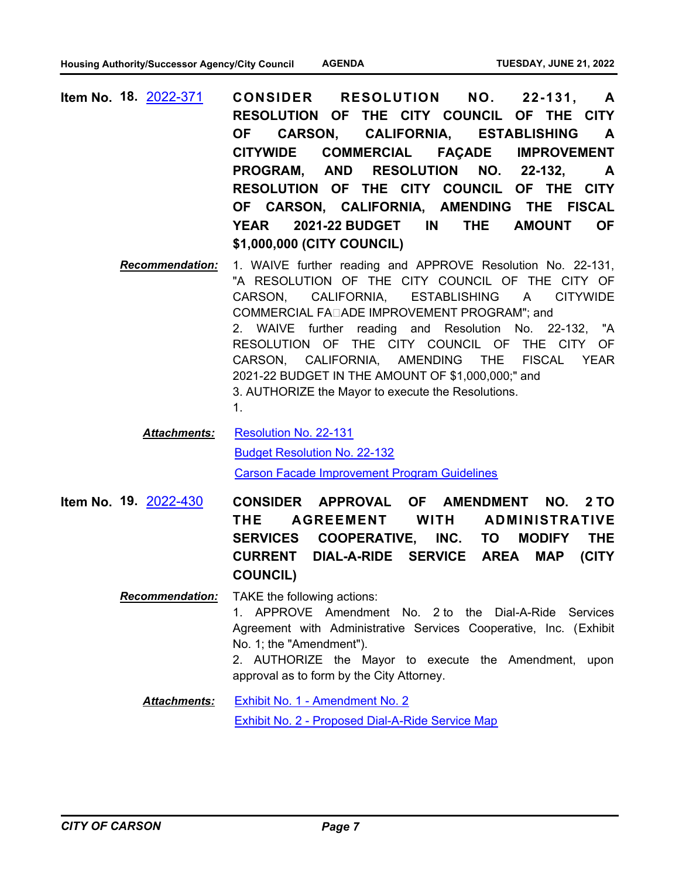- **CONSIDER RESOLUTION NO. 22-131, A RESOLUTION OF THE CITY COUNCIL OF THE CITY OF CARSON, CALIFORNIA, ESTABLISHING A CITYWIDE COMMERCIAL FAÇADE IMPROVEMENT PROGRAM, AND RESOLUTION NO. 22-132, A RESOLUTION OF THE CITY COUNCIL OF THE CITY OF CARSON, CALIFORNIA, AMENDING THE FISCAL YEAR 2021-22 BUDGET IN THE AMOUNT OF \$1,000,000 (CITY COUNCIL) Item No. 18.** [2022-371](http://carson.legistar.com/gateway.aspx?m=l&id=/matter.aspx?key=10302)
	- *Recommendation:* 1. WAIVE further reading and APPROVE Resolution No. 22-131, "A RESOLUTION OF THE CITY COUNCIL OF THE CITY OF CARSON, CALIFORNIA, ESTABLISHING A CITYWIDE COMMERCIAL FA $\sqcap$ ADE IMPROVEMENT PROGRAM": and 2. WAIVE further reading and Resolution No. 22-132, "A RESOLUTION OF THE CITY COUNCIL OF THE CITY OF CARSON, CALIFORNIA, AMENDING THE FISCAL YEAR 2021-22 BUDGET IN THE AMOUNT OF \$1,000,000;" and 3. AUTHORIZE the Mayor to execute the Resolutions.
		- 1.

[Resolution No. 22-131](http://carson.legistar.com/gateway.aspx?M=F&ID=02d05185-29b5-4a48-a840-5733694010ed.pdf) [Budget Resolution No. 22-132](http://carson.legistar.com/gateway.aspx?M=F&ID=f77380da-643f-46a8-a747-c940dd70a608.pdf) [Carson Facade Improvement Program Guidelines](http://carson.legistar.com/gateway.aspx?M=F&ID=60b49bc2-6d4b-478a-97a0-d4b6652ed8b2.pdf) *Attachments:*

**CONSIDER APPROVAL OF AMENDMENT NO. 2 TO THE AGREEMENT WITH ADMINISTRATIVE SERVICES COOPERATIVE, INC. TO MODIFY THE CURRENT DIAL-A-RIDE SERVICE AREA MAP (CITY COUNCIL) Item No. 19.** [2022-430](http://carson.legistar.com/gateway.aspx?m=l&id=/matter.aspx?key=10362)

> *Recommendation:* TAKE the following actions: 1. APPROVE Amendment No. 2 to the Dial-A-Ride Services Agreement with Administrative Services Cooperative, Inc. (Exhibit No. 1; the "Amendment"). 2. AUTHORIZE the Mayor to execute the Amendment, upon approval as to form by the City Attorney.

[Exhibit No. 1 - Amendment No. 2](http://carson.legistar.com/gateway.aspx?M=F&ID=a5e0ff6c-a8e6-4202-83f0-b5dc7b2b3e6a.pdf) [Exhibit No. 2 - Proposed Dial-A-Ride Service Map](http://carson.legistar.com/gateway.aspx?M=F&ID=a6f560aa-8e70-46ad-8f3c-c0ab6c1f000c.pdf) *Attachments:*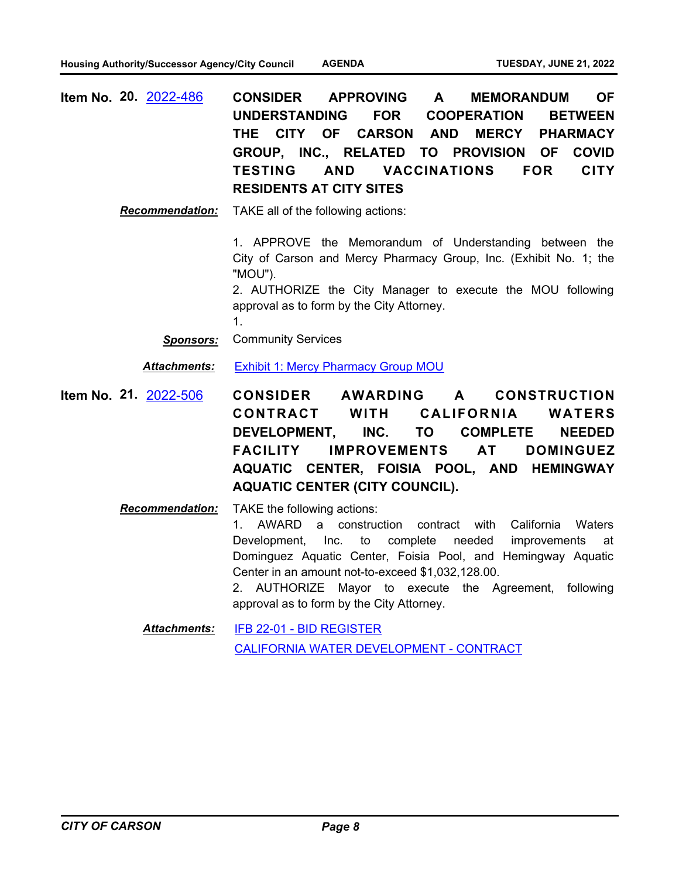| <b>Item No. 20. 2022-486</b> |                                | CONSIDER APPROVING A MEMORANDUM OF         |  |  |
|------------------------------|--------------------------------|--------------------------------------------|--|--|
|                              |                                | UNDERSTANDING FOR COOPERATION BETWEEN      |  |  |
|                              |                                | THE CITY OF CARSON AND MERCY PHARMACY      |  |  |
|                              |                                | GROUP, INC., RELATED TO PROVISION OF COVID |  |  |
|                              |                                | TESTING AND VACCINATIONS FOR CITY          |  |  |
|                              | <b>RESIDENTS AT CITY SITES</b> |                                            |  |  |

*Recommendation:* TAKE all of the following actions:

1. APPROVE the Memorandum of Understanding between the City of Carson and Mercy Pharmacy Group, Inc. (Exhibit No. 1; the "MOU").

2. AUTHORIZE the City Manager to execute the MOU following approval as to form by the City Attorney.

1.

*Sponsors:* Community Services

**Attachments:** [Exhibit 1: Mercy Pharmacy Group MOU](http://carson.legistar.com/gateway.aspx?M=F&ID=89e1fbd4-c8a2-429c-91b7-ea68064bc898.DOCX)

- **CONSIDER AWARDING A CONSTRUCTION**  CONTRACT WITH CALIFORNIA WATERS **DEVELOPMENT, INC. TO COMPLETE NEEDED FACILITY IMPROVEMENTS AT DOMINGUEZ AQUATIC CENTER, FOISIA POOL, AND HEMINGWAY AQUATIC CENTER (CITY COUNCIL). Item No. 21.** [2022-506](http://carson.legistar.com/gateway.aspx?m=l&id=/matter.aspx?key=10437)
	- *Recommendation:* TAKE the following actions: 1. AWARD a construction contract with California Waters Development, Inc. to complete needed improvements at Dominguez Aquatic Center, Foisia Pool, and Hemingway Aquatic Center in an amount not-to-exceed \$1,032,128.00. 2. AUTHORIZE Mayor to execute the Agreement, following approval as to form by the City Attorney.

[IFB 22-01 - BID REGISTER](http://carson.legistar.com/gateway.aspx?M=F&ID=668ca29a-c44e-44be-b3ca-635141b3297a.pdf) [CALIFORNIA WATER DEVELOPMENT - CONTRACT](http://carson.legistar.com/gateway.aspx?M=F&ID=ac3d3824-bbbc-4cbd-aea7-8f3965df9bd4.pdf) *Attachments:*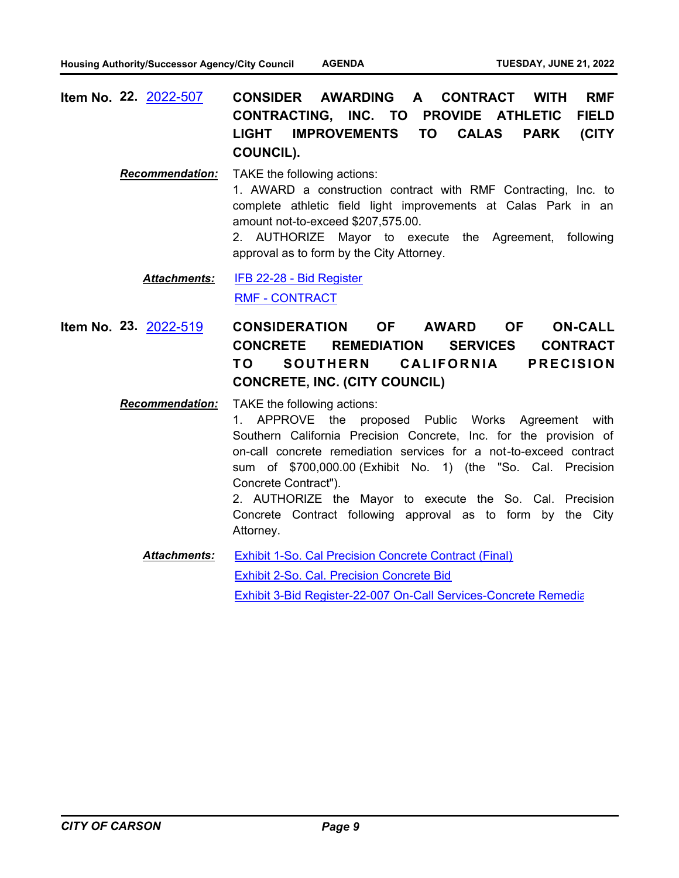**CONSIDER AWARDING A CONTRACT WITH RMF CONTRACTING, INC. TO PROVIDE ATHLETIC FIELD LIGHT IMPROVEMENTS TO CALAS PARK (CITY COUNCIL). Item No. 22.** [2022-507](http://carson.legistar.com/gateway.aspx?m=l&id=/matter.aspx?key=10438)

> *Recommendation:* TAKE the following actions: 1. AWARD a construction contract with RMF Contracting, Inc. to complete athletic field light improvements at Calas Park in an amount not-to-exceed \$207,575.00. 2. AUTHORIZE Mayor to execute the Agreement, following approval as to form by the City Attorney.

[IFB 22-28 - Bid Register](http://carson.legistar.com/gateway.aspx?M=F&ID=2d943055-af7e-452c-bd3f-fa2137db8fef.pdf) [RMF - CONTRACT](http://carson.legistar.com/gateway.aspx?M=F&ID=9f03498a-e074-4870-8fe6-932f6fd146e2.docx) *Attachments:*

**CONSIDERATION OF AWARD OF ON-CALL CONCRETE REMEDIATION SERVICES CONTRACT TO SOUTHERN CALIFORNIA PRECISION CONCRETE, INC. (CITY COUNCIL) Item No. 23.** [2022-519](http://carson.legistar.com/gateway.aspx?m=l&id=/matter.aspx?key=10450)

*Recommendation:* TAKE the following actions:

1. APPROVE the proposed Public Works Agreement with Southern California Precision Concrete, Inc. for the provision of on-call concrete remediation services for a not-to-exceed contract sum of \$700,000.00 (Exhibit No. 1) (the "So. Cal. Precision Concrete Contract").

2. AUTHORIZE the Mayor to execute the So. Cal. Precision Concrete Contract following approval as to form by the City Attorney.

[Exhibit 1-So. Cal Precision Concrete Contract \(Final\)](http://carson.legistar.com/gateway.aspx?M=F&ID=471871a6-b222-4bed-8a7a-35ac368f4d00.pdf) [Exhibit 2-So. Cal. Precision Concrete Bid](http://carson.legistar.com/gateway.aspx?M=F&ID=a8b27ff0-d462-4624-a9d1-d7e8b6e7a30a.pdf) [Exhibit 3-Bid Register-22-007 On-Call Services-Concrete Remedia](http://carson.legistar.com/gateway.aspx?M=F&ID=e5ae14e2-be6f-42d5-9eba-86b19cc3cd02.pdf)tion *Attachments:*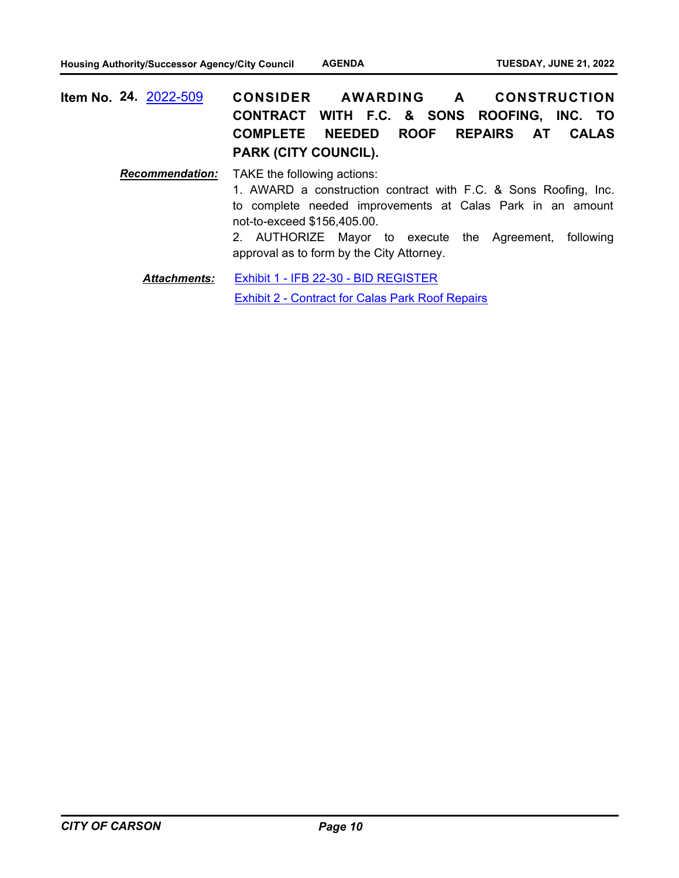**CONSIDER AWARDING A CONSTRUCTION CONTRACT WITH F.C. & SONS ROOFING, INC. TO COMPLETE NEEDED ROOF REPAIRS AT CALAS PARK (CITY COUNCIL). Item No. 24.** [2022-509](http://carson.legistar.com/gateway.aspx?m=l&id=/matter.aspx?key=10440)

> *Recommendation:* TAKE the following actions: 1. AWARD a construction contract with F.C. & Sons Roofing, Inc. to complete needed improvements at Calas Park in an amount not-to-exceed \$156,405.00. 2. AUTHORIZE Mayor to execute the Agreement, following approval as to form by the City Attorney.

[Exhibit 1 - IFB 22-30 - BID REGISTER](http://carson.legistar.com/gateway.aspx?M=F&ID=6ee09cb2-2cc3-45b6-95a8-71f400b52013.pdf) [Exhibit 2 - Contract for Calas Park Roof Repairs](http://carson.legistar.com/gateway.aspx?M=F&ID=0d3a972b-3a1f-4879-bc32-f06fdf848fee.pdf) *Attachments:*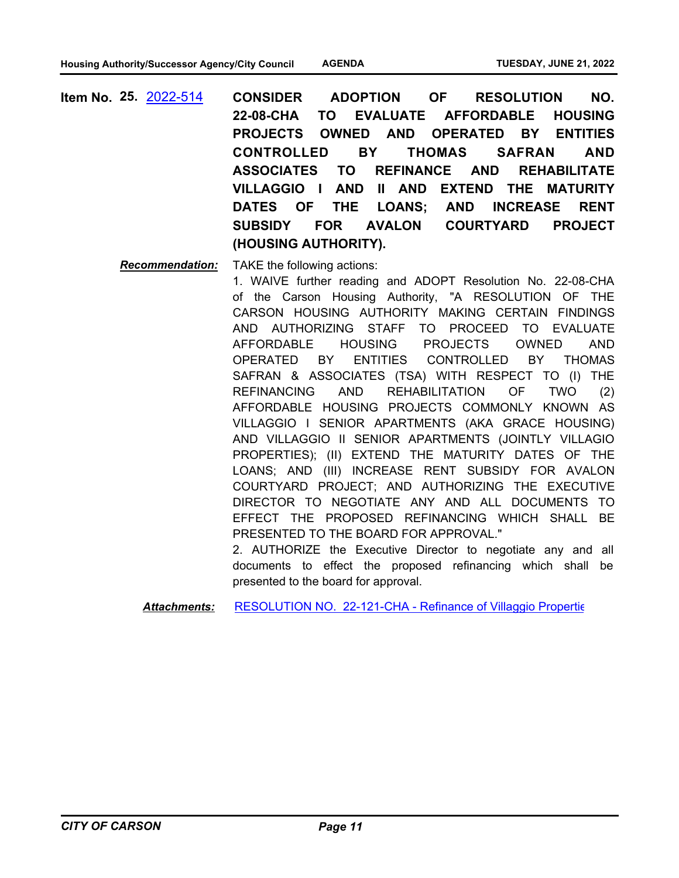**CONSIDER ADOPTION OF RESOLUTION NO. 22-08-CHA TO EVALUATE AFFORDABLE HOUSING PROJECTS OWNED AND OPERATED BY ENTITIES CONTROLLED BY THOMAS SAFRAN AND ASSOCIATES TO REFINANCE AND REHABILITATE VILLAGGIO I AND II AND EXTEND THE MATURITY DATES OF THE LOANS; AND INCREASE RENT SUBSIDY FOR AVALON COURTYARD PROJECT (HOUSING AUTHORITY). Item No. 25.** [2022-514](http://carson.legistar.com/gateway.aspx?m=l&id=/matter.aspx?key=10445)

*Recommendation:* TAKE the following actions:

1. WAIVE further reading and ADOPT Resolution No. 22-08-CHA of the Carson Housing Authority, "A RESOLUTION OF THE CARSON HOUSING AUTHORITY MAKING CERTAIN FINDINGS AND AUTHORIZING STAFF TO PROCEED TO EVALUATE AFFORDABLE HOUSING PROJECTS OWNED AND OPERATED BY ENTITIES CONTROLLED BY THOMAS SAFRAN & ASSOCIATES (TSA) WITH RESPECT TO (I) THE REFINANCING AND REHABILITATION OF TWO (2) AFFORDABLE HOUSING PROJECTS COMMONLY KNOWN AS VILLAGGIO I SENIOR APARTMENTS (AKA GRACE HOUSING) AND VILLAGGIO II SENIOR APARTMENTS (JOINTLY VILLAGIO PROPERTIES); (II) EXTEND THE MATURITY DATES OF THE LOANS; AND (III) INCREASE RENT SUBSIDY FOR AVALON COURTYARD PROJECT; AND AUTHORIZING THE EXECUTIVE DIRECTOR TO NEGOTIATE ANY AND ALL DOCUMENTS TO EFFECT THE PROPOSED REFINANCING WHICH SHALL BE PRESENTED TO THE BOARD FOR APPROVAL."

2. AUTHORIZE the Executive Director to negotiate any and all documents to effect the proposed refinancing which shall be presented to the board for approval.

Attachments: RESOLUTION NO. 22-121-CHA - Refinance of Villaggio Propertic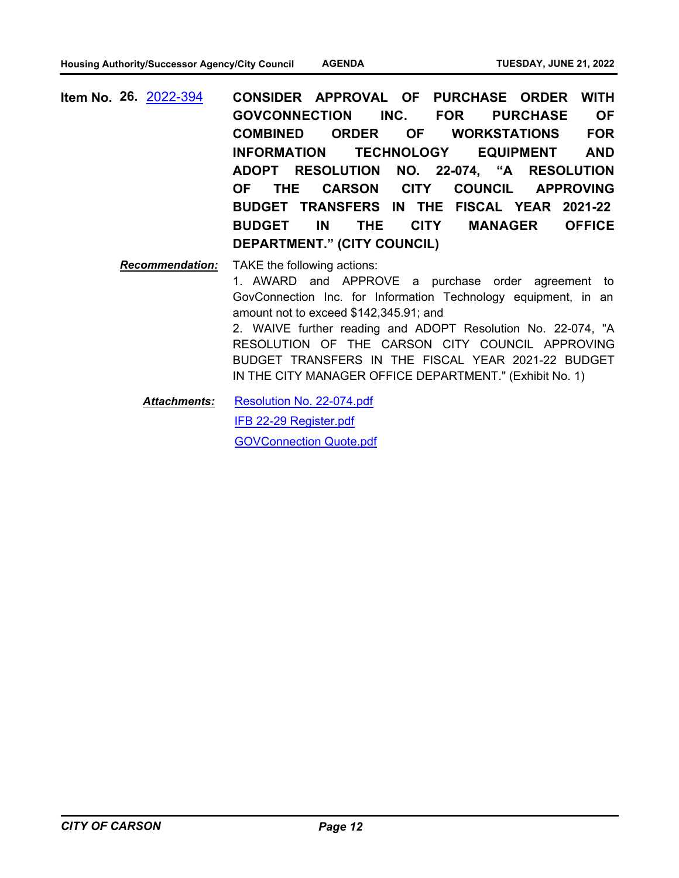**CONSIDER APPROVAL OF PURCHASE ORDER WITH GOVCONNECTION INC. FOR PURCHASE OF COMBINED ORDER OF WORKSTATIONS FOR INFORMATION TECHNOLOGY EQUIPMENT AND ADOPT RESOLUTION NO. 22-074, "A RESOLUTION OF THE CARSON CITY COUNCIL APPROVING BUDGET TRANSFERS IN THE FISCAL YEAR 2021-22 BUDGET IN THE CITY MANAGER OFFICE DEPARTMENT." (CITY COUNCIL) Item No. 26.** [2022-394](http://carson.legistar.com/gateway.aspx?m=l&id=/matter.aspx?key=10327)

> *Recommendation:* TAKE the following actions: 1. AWARD and APPROVE a purchase order agreement to GovConnection Inc. for Information Technology equipment, in an amount not to exceed \$142,345.91; and 2. WAIVE further reading and ADOPT Resolution No. 22-074, "A RESOLUTION OF THE CARSON CITY COUNCIL APPROVING BUDGET TRANSFERS IN THE FISCAL YEAR 2021-22 BUDGET IN THE CITY MANAGER OFFICE DEPARTMENT." (Exhibit No. 1)

[Resolution No. 22-074.pdf](http://carson.legistar.com/gateway.aspx?M=F&ID=42069684-7fec-4215-a324-1426c23ad4ed.pdf) [IFB 22-29 Register.pdf](http://carson.legistar.com/gateway.aspx?M=F&ID=6d257b1f-7af0-4c24-9f25-93ef09cecb96.pdf) [GOVConnection Quote.pdf](http://carson.legistar.com/gateway.aspx?M=F&ID=19f92265-e8aa-4938-8400-92a947d2752a.pdf) *Attachments:*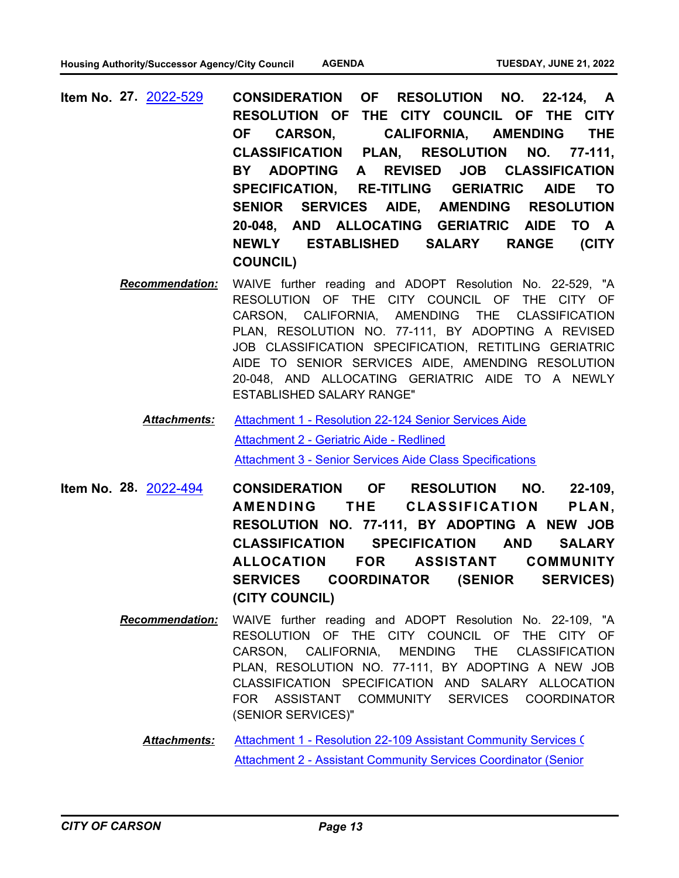- **CONSIDERATION OF RESOLUTION NO. 22-124, A RESOLUTION OF THE CITY COUNCIL OF THE CITY OF CARSON, CALIFORNIA, AMENDING THE CLASSIFICATION PLAN, RESOLUTION NO. 77-111, BY ADOPTING A REVISED JOB CLASSIFICATION SPECIFICATION, RE-TITLING GERIATRIC AIDE TO SENIOR SERVICES AIDE, AMENDING RESOLUTION 20-048, AND ALLOCATING GERIATRIC AIDE TO A NEWLY ESTABLISHED SALARY RANGE (CITY COUNCIL) Item No. 27.** [2022-529](http://carson.legistar.com/gateway.aspx?m=l&id=/matter.aspx?key=10460)
	- *Recommendation:* WAIVE further reading and ADOPT Resolution No. 22-529, "A RESOLUTION OF THE CITY COUNCIL OF THE CITY OF CARSON, CALIFORNIA, AMENDING THE CLASSIFICATION PLAN, RESOLUTION NO. 77-111, BY ADOPTING A REVISED JOB CLASSIFICATION SPECIFICATION, RETITLING GERIATRIC AIDE TO SENIOR SERVICES AIDE, AMENDING RESOLUTION 20-048, AND ALLOCATING GERIATRIC AIDE TO A NEWLY ESTABLISHED SALARY RANGE"
		- [Attachment 1 Resolution 22-124 Senior Services Aide](http://carson.legistar.com/gateway.aspx?M=F&ID=a974f744-f4b8-4374-ab38-329b276f50af.pdf) [Attachment 2 - Geriatric Aide - Redlined](http://carson.legistar.com/gateway.aspx?M=F&ID=3202a29c-9a27-4022-9b17-77017a9bdccc.pdf) [Attachment 3 - Senior Services Aide Class Specifications](http://carson.legistar.com/gateway.aspx?M=F&ID=5fbdb5b9-0947-43cf-bc7e-93c7aa89d28c.pdf) *Attachments:*
- **CONSIDERATION OF RESOLUTION NO. 22-109, AMENDING THE CLASSIFICATION PLAN, RESOLUTION NO. 77-111, BY ADOPTING A NEW JOB CLASSIFICATION SPECIFICATION AND SALARY ALLOCATION FOR ASSISTANT COMMUNITY SERVICES COORDINATOR (SENIOR SERVICES) (CITY COUNCIL) Item No. 28.** [2022-494](http://carson.legistar.com/gateway.aspx?m=l&id=/matter.aspx?key=10425)
	- *Recommendation:* WAIVE further reading and ADOPT Resolution No. 22-109, "A RESOLUTION OF THE CITY COUNCIL OF THE CITY OF CARSON, CALIFORNIA, MENDING THE CLASSIFICATION PLAN, RESOLUTION NO. 77-111, BY ADOPTING A NEW JOB CLASSIFICATION SPECIFICATION AND SALARY ALLOCATION FOR ASSISTANT COMMUNITY SERVICES COORDINATOR (SENIOR SERVICES)"
		- Attachment 1 Resolution 22-109 Assistant Community Services ( [Attachment 2 - Assistant Community Services Coordinator \(Senior](http://carson.legistar.com/gateway.aspx?M=F&ID=c6df720b-6787-4c03-96b7-94390e669f36.pdf) *Attachments:*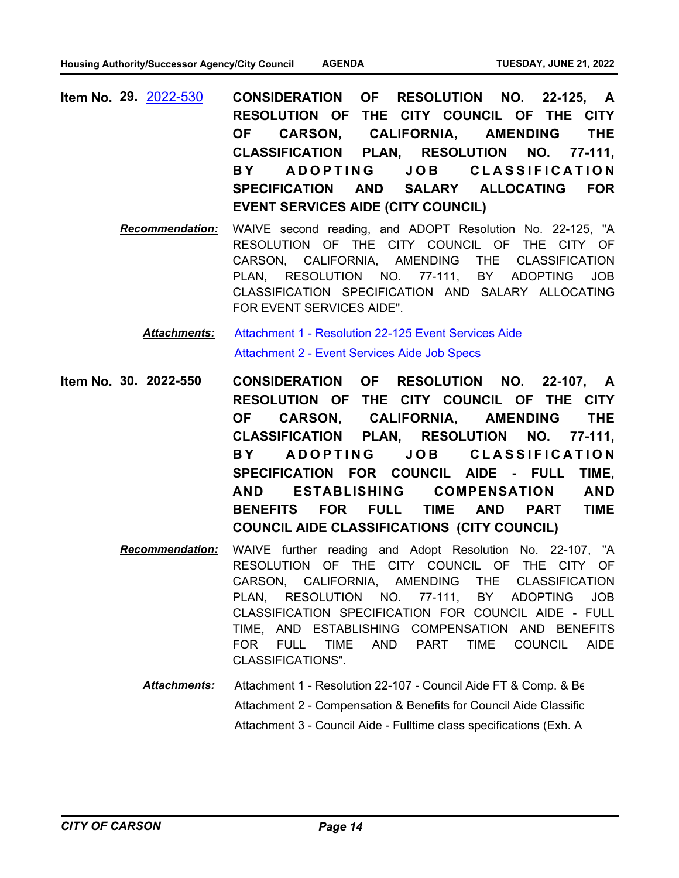- **CONSIDERATION OF RESOLUTION NO. 22-125, A RESOLUTION OF THE CITY COUNCIL OF THE CITY OF CARSON, CALIFORNIA, AMENDING THE CLASSIFICATION PLAN, RESOLUTION NO. 77-111,**  BY ADOPTING JOB CLASSIFICATION **SPECIFICATION AND SALARY ALLOCATING FOR EVENT SERVICES AIDE (CITY COUNCIL) Item No. 29.** [2022-530](http://carson.legistar.com/gateway.aspx?m=l&id=/matter.aspx?key=10461)
	- *Recommendation:* WAIVE second reading, and ADOPT Resolution No. 22-125, "A RESOLUTION OF THE CITY COUNCIL OF THE CITY OF CARSON, CALIFORNIA, AMENDING THE CLASSIFICATION PLAN, RESOLUTION NO. 77-111, BY ADOPTING JOB CLASSIFICATION SPECIFICATION AND SALARY ALLOCATING FOR EVENT SERVICES AIDE".

[Attachment 1 - Resolution 22-125 Event Services Aide](http://carson.legistar.com/gateway.aspx?M=F&ID=87c96601-de01-4172-bb61-603e27145e49.pdf) [Attachment 2 - Event Services Aide Job Specs](http://carson.legistar.com/gateway.aspx?M=F&ID=e3c355cf-c88e-4eb6-854b-d1b18aa2e181.pdf) *Attachments:*

- **CONSIDERATION OF RESOLUTION NO. 22-107, A RESOLUTION OF THE CITY COUNCIL OF THE CITY OF CARSON, CALIFORNIA, AMENDING THE CLASSIFICATION PLAN, RESOLUTION NO. 77-111,**  BY ADOPTING JOB CLASSIFICATION **SPECIFICATION FOR COUNCIL AIDE - FULL TIME, AND ESTABLISHING COMPENSATION AND BENEFITS FOR FULL TIME AND PART TIME COUNCIL AIDE CLASSIFICATIONS (CITY COUNCIL) Item No. 30. 2022-550**
	- *Recommendation:* WAIVE further reading and Adopt Resolution No. 22-107, "A RESOLUTION OF THE CITY COUNCIL OF THE CITY OF CARSON, CALIFORNIA, AMENDING THE CLASSIFICATION PLAN, RESOLUTION NO. 77-111, BY ADOPTING JOB CLASSIFICATION SPECIFICATION FOR COUNCIL AIDE - FULL TIME, AND ESTABLISHING COMPENSATION AND BENEFITS FOR FULL TIME AND PART TIME COUNCIL AIDE CLASSIFICATIONS".
		- Attachment 1 Resolution 22-107 Council Aide FT & Comp. & Be Attachment 2 - Compensation & Benefits for Council Aide Classific Attachment 3 - Council Aide - Fulltime class specifications (Exh. A *Attachments:*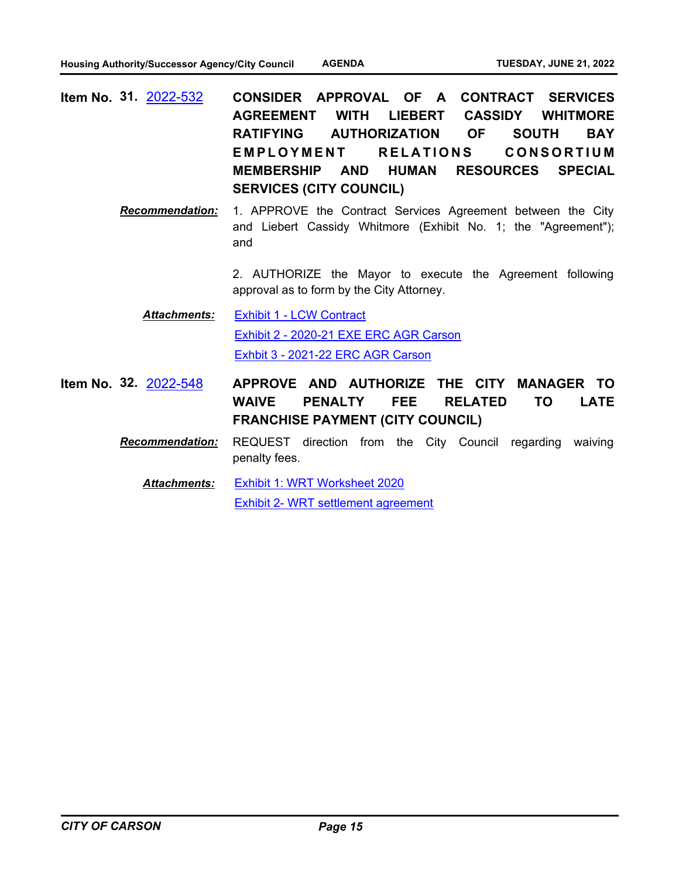- **CONSIDER APPROVAL OF A CONTRACT SERVICES AGREEMENT WITH LIEBERT CASSIDY WHITMORE RATIFYING AUTHORIZATION OF SOUTH BAY**  EMPLOYMENT RELATIONS CONSORTIUM **MEMBERSHIP AND HUMAN RESOURCES SPECIAL SERVICES (CITY COUNCIL) Item No. 31.** [2022-532](http://carson.legistar.com/gateway.aspx?m=l&id=/matter.aspx?key=10463)
	- *Recommendation:* 1. APPROVE the Contract Services Agreement between the City and Liebert Cassidy Whitmore (Exhibit No. 1; the "Agreement"); and

2. AUTHORIZE the Mayor to execute the Agreement following approval as to form by the City Attorney.

[Exhibit 1 - LCW Contract](http://carson.legistar.com/gateway.aspx?M=F&ID=ab2e55b4-b9af-4794-9049-33c6fb92a3f8.pdf) [Exhibit 2 - 2020-21 EXE ERC AGR Carson](http://carson.legistar.com/gateway.aspx?M=F&ID=87809a6e-d979-4aab-99a0-670d7f90a504.pdf) [Exhbit 3 - 2021-22 ERC AGR Carson](http://carson.legistar.com/gateway.aspx?M=F&ID=531aa903-91e5-42d1-a663-c3375eb6c5f3.pdf) *Attachments:*

- **APPROVE AND AUTHORIZE THE CITY MANAGER TO WAIVE PENALTY FEE RELATED TO LATE FRANCHISE PAYMENT (CITY COUNCIL) Item No. 32.** [2022-548](http://carson.legistar.com/gateway.aspx?m=l&id=/matter.aspx?key=10479)
	- *Recommendation:* REQUEST direction from the City Council regarding waiving penalty fees.

[Exhibit 1: WRT Worksheet 2020](http://carson.legistar.com/gateway.aspx?M=F&ID=14c6d9b8-1751-4f3a-84f5-8af12c0c9abd.pdf) [Exhibit 2- WRT settlement agreement](http://carson.legistar.com/gateway.aspx?M=F&ID=0a1d27d5-6b0a-44ba-b34e-6ea292c9bb1d.pdf) *Attachments:*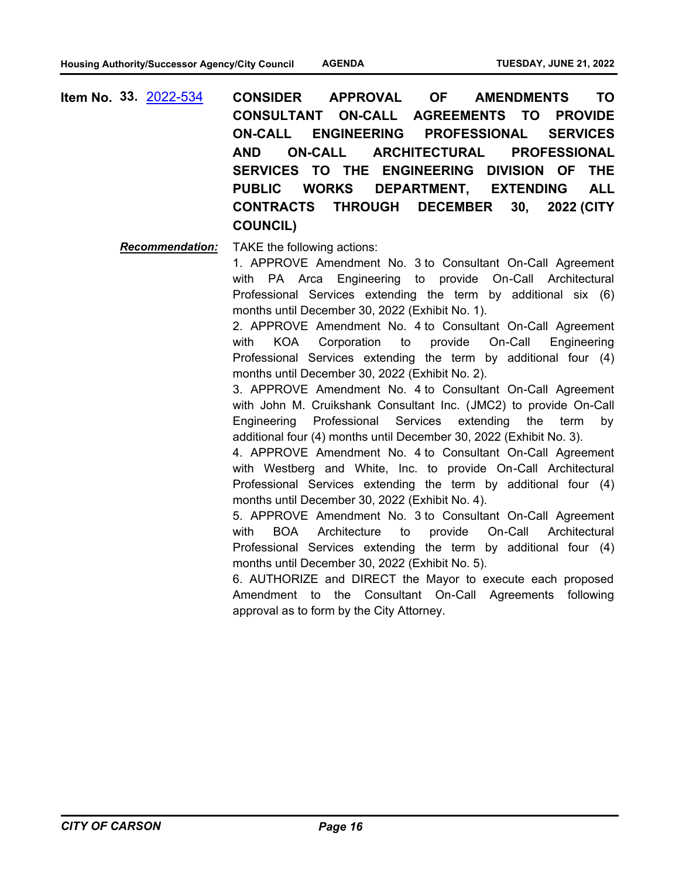**CONSIDER APPROVAL OF AMENDMENTS TO CONSULTANT ON-CALL AGREEMENTS TO PROVIDE ON-CALL ENGINEERING PROFESSIONAL SERVICES AND ON-CALL ARCHITECTURAL PROFESSIONAL SERVICES TO THE ENGINEERING DIVISION OF THE PUBLIC WORKS DEPARTMENT, EXTENDING ALL CONTRACTS THROUGH DECEMBER 30, 2022 (CITY COUNCIL) Item No. 33.** [2022-534](http://carson.legistar.com/gateway.aspx?m=l&id=/matter.aspx?key=10465)

*Recommendation:* TAKE the following actions:

1. APPROVE Amendment No. 3 to Consultant On-Call Agreement with PA Arca Engineering to provide On-Call Architectural Professional Services extending the term by additional six (6) months until December 30, 2022 (Exhibit No. 1).

2. APPROVE Amendment No. 4 to Consultant On-Call Agreement with KOA Corporation to provide On-Call Engineering Professional Services extending the term by additional four (4) months until December 30, 2022 (Exhibit No. 2).

3. APPROVE Amendment No. 4 to Consultant On-Call Agreement with John M. Cruikshank Consultant Inc. (JMC2) to provide On-Call Engineering Professional Services extending the term by additional four (4) months until December 30, 2022 (Exhibit No. 3).

4. APPROVE Amendment No. 4 to Consultant On-Call Agreement with Westberg and White, Inc. to provide On-Call Architectural Professional Services extending the term by additional four (4) months until December 30, 2022 (Exhibit No. 4).

5. APPROVE Amendment No. 3 to Consultant On-Call Agreement with BOA Architecture to provide On-Call Architectural Professional Services extending the term by additional four (4) months until December 30, 2022 (Exhibit No. 5).

6. AUTHORIZE and DIRECT the Mayor to execute each proposed Amendment to the Consultant On-Call Agreements following approval as to form by the City Attorney.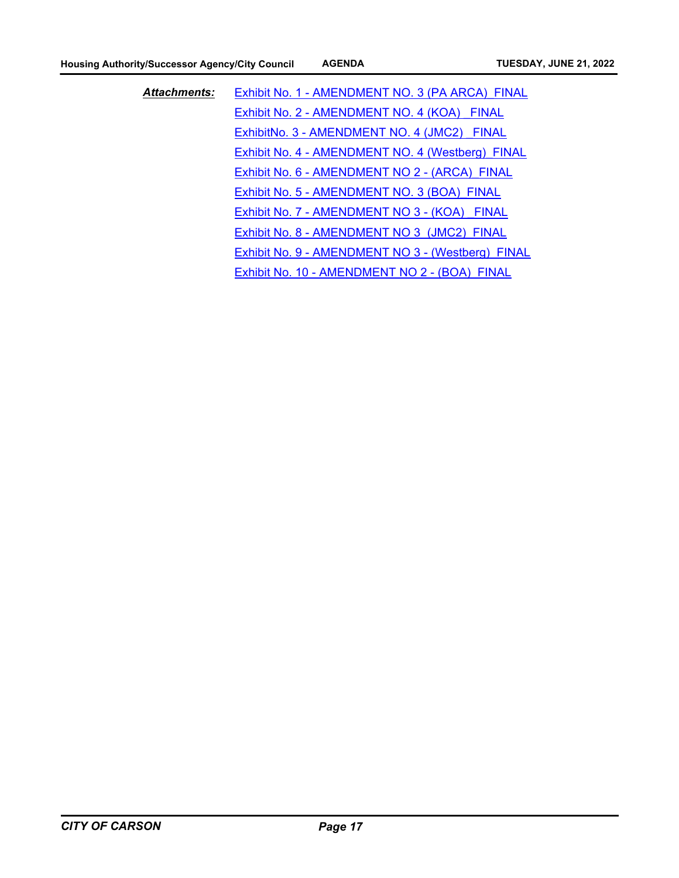| <b>Attachments:</b> | Exhibit No. 1 - AMENDMENT NO. 3 (PA ARCA) FINAL   |
|---------------------|---------------------------------------------------|
|                     | Exhibit No. 2 - AMENDMENT NO. 4 (KOA) FINAL       |
|                     | ExhibitNo. 3 - AMENDMENT NO. 4 (JMC2) FINAL       |
|                     | Exhibit No. 4 - AMENDMENT NO. 4 (Westberg) FINAL  |
|                     | Exhibit No. 6 - AMENDMENT NO 2 - (ARCA) FINAL     |
|                     | Exhibit No. 5 - AMENDMENT NO. 3 (BOA) FINAL       |
|                     | Exhibit No. 7 - AMENDMENT NO 3 - (KOA) FINAL      |
|                     | Exhibit No. 8 - AMENDMENT NO 3 (JMC2) FINAL       |
|                     | Exhibit No. 9 - AMENDMENT NO 3 - (Westberg) FINAL |
|                     | Exhibit No. 10 - AMENDMENT NO 2 - (BOA) FINAL     |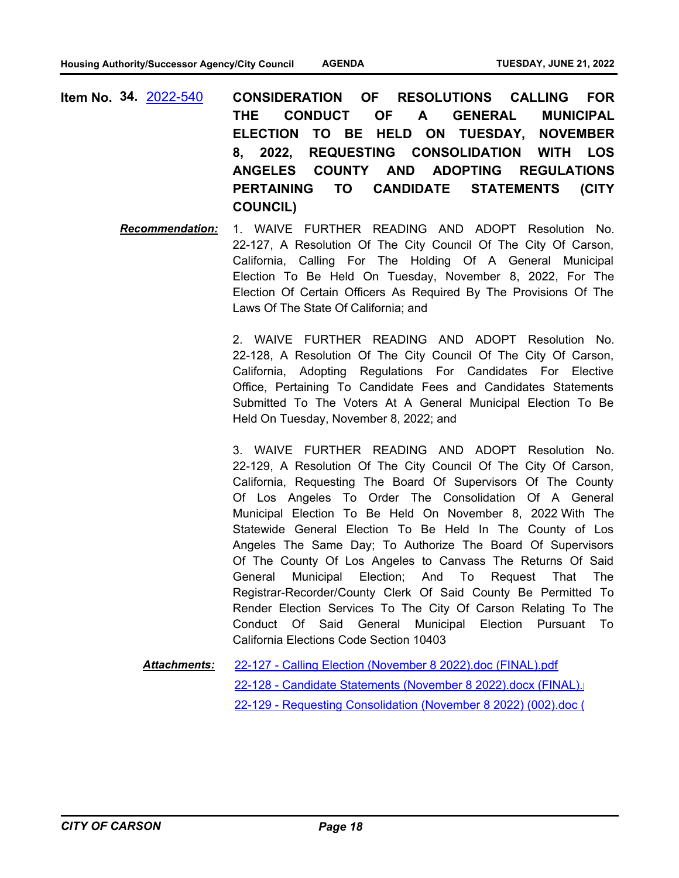- **CONSIDERATION OF RESOLUTIONS CALLING FOR THE CONDUCT OF A GENERAL MUNICIPAL ELECTION TO BE HELD ON TUESDAY, NOVEMBER 8, 2022, REQUESTING CONSOLIDATION WITH LOS ANGELES COUNTY AND ADOPTING REGULATIONS PERTAINING TO CANDIDATE STATEMENTS (CITY COUNCIL) Item No. 34.** [2022-540](http://carson.legistar.com/gateway.aspx?m=l&id=/matter.aspx?key=10471)
	- *Recommendation:* 1. WAIVE FURTHER READING AND ADOPT Resolution No. 22-127, A Resolution Of The City Council Of The City Of Carson, California, Calling For The Holding Of A General Municipal Election To Be Held On Tuesday, November 8, 2022, For The Election Of Certain Officers As Required By The Provisions Of The Laws Of The State Of California; and

2. WAIVE FURTHER READING AND ADOPT Resolution No. 22-128, A Resolution Of The City Council Of The City Of Carson, California, Adopting Regulations For Candidates For Elective Office, Pertaining To Candidate Fees and Candidates Statements Submitted To The Voters At A General Municipal Election To Be Held On Tuesday, November 8, 2022; and

3. WAIVE FURTHER READING AND ADOPT Resolution No. 22-129, A Resolution Of The City Council Of The City Of Carson, California, Requesting The Board Of Supervisors Of The County Of Los Angeles To Order The Consolidation Of A General Municipal Election To Be Held On November 8, 2022 With The Statewide General Election To Be Held In The County of Los Angeles The Same Day; To Authorize The Board Of Supervisors Of The County Of Los Angeles to Canvass The Returns Of Said General Municipal Election; And To Request That The Registrar-Recorder/County Clerk Of Said County Be Permitted To Render Election Services To The City Of Carson Relating To The Conduct Of Said General Municipal Election Pursuant To California Elections Code Section 10403

[22-127 - Calling Election \(November 8 2022\).doc \(FINAL\).pdf](http://carson.legistar.com/gateway.aspx?M=F&ID=2fb55a30-9772-4580-a364-63c2c8ce7516.pdf) 22-128 - Candidate Statements (November 8 2022).docx (FINAL). [22-129 - Requesting Consolidation \(November 8 2022\) \(002\).doc \(](http://carson.legistar.com/gateway.aspx?M=F&ID=b14a7d2b-b913-4cf8-9a90-b60c8fe2c497.pdf) *Attachments:*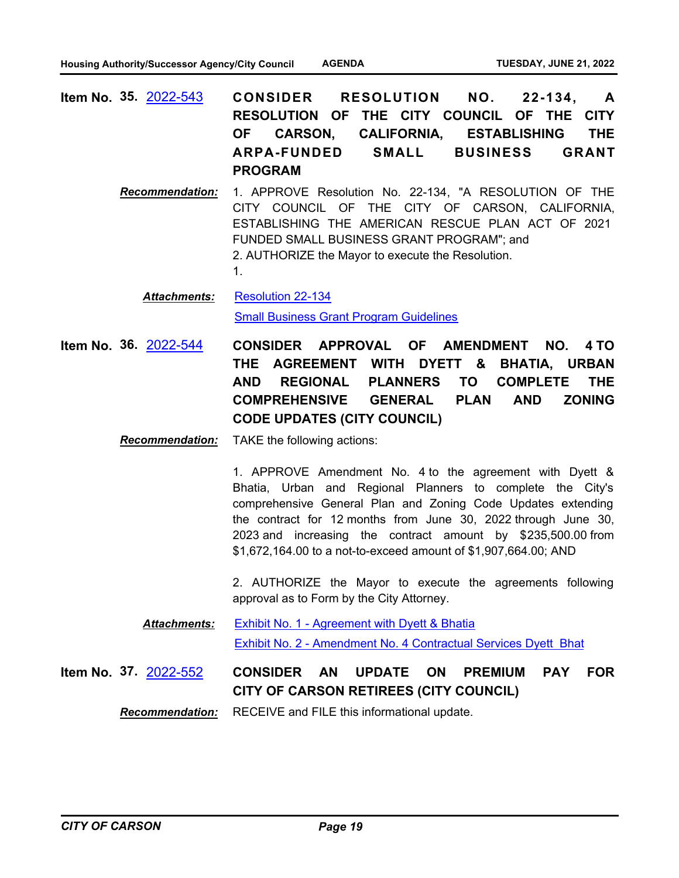- **CONSIDER RESOLUTION NO. 22-134, A RESOLUTION OF THE CITY COUNCIL OF THE CITY OF CARSON, CALIFORNIA, ESTABLISHING THE ARPA-FUNDED SMALL BUSINESS GRANT PROGRAM Item No. 35.** [2022-543](http://carson.legistar.com/gateway.aspx?m=l&id=/matter.aspx?key=10474)
	- *Recommendation:* 1. APPROVE Resolution No. 22-134, "A RESOLUTION OF THE CITY COUNCIL OF THE CITY OF CARSON, CALIFORNIA, ESTABLISHING THE AMERICAN RESCUE PLAN ACT OF 2021 FUNDED SMALL BUSINESS GRANT PROGRAM"; and 2. AUTHORIZE the Mayor to execute the Resolution. 1.

[Resolution 22-134](http://carson.legistar.com/gateway.aspx?M=F&ID=8f10eefb-a069-485a-9e82-f6154ff67bec.pdf) *Attachments:*

[Small Business Grant Program Guidelines](http://carson.legistar.com/gateway.aspx?M=F&ID=92721e4e-6eea-4310-97cd-32505440248e.pdf)

**CONSIDER APPROVAL OF AMENDMENT NO. 4 TO THE AGREEMENT WITH DYETT & BHATIA, URBAN AND REGIONAL PLANNERS TO COMPLETE THE COMPREHENSIVE GENERAL PLAN AND ZONING CODE UPDATES (CITY COUNCIL) Item No. 36.** [2022-544](http://carson.legistar.com/gateway.aspx?m=l&id=/matter.aspx?key=10475)

*Recommendation:* TAKE the following actions:

1. APPROVE Amendment No. 4 to the agreement with Dyett & Bhatia, Urban and Regional Planners to complete the City's comprehensive General Plan and Zoning Code Updates extending the contract for 12 months from June 30, 2022 through June 30, 2023 and increasing the contract amount by \$235,500.00 from \$1,672,164.00 to a not-to-exceed amount of \$1,907,664.00; AND

2. AUTHORIZE the Mayor to execute the agreements following approval as to Form by the City Attorney.

[Exhibit No. 1 - Agreement with Dyett & Bhatia](http://carson.legistar.com/gateway.aspx?M=F&ID=fadda33c-976a-4487-82b4-8a3c21da9b50.pdf) [Exhibit No. 2 - Amendment No. 4 Contractual Services Dyett Bhat](http://carson.legistar.com/gateway.aspx?M=F&ID=813b90f9-ee71-4812-aa08-09c19b46a4b5.pdf) *Attachments:*

#### **CONSIDER AN UPDATE ON PREMIUM PAY FOR CITY OF CARSON RETIREES (CITY COUNCIL) Item No. 37.** [2022-552](http://carson.legistar.com/gateway.aspx?m=l&id=/matter.aspx?key=10483)

*Recommendation:* RECEIVE and FILE this informational update.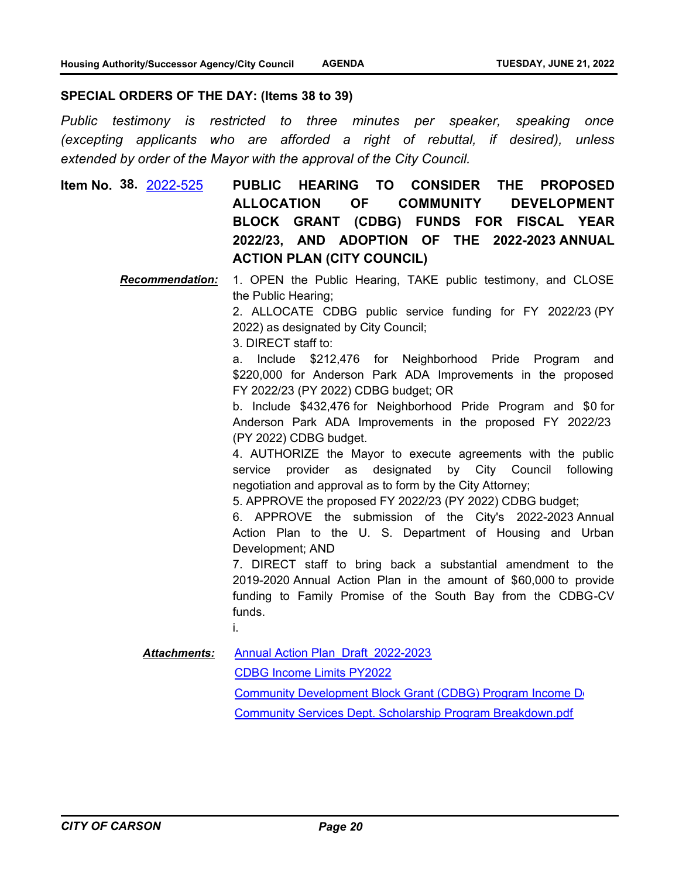#### **SPECIAL ORDERS OF THE DAY: (Items 38 to 39)**

*Public testimony is restricted to three minutes per speaker, speaking once (excepting applicants who are afforded a right of rebuttal, if desired), unless extended by order of the Mayor with the approval of the City Council.*

**PUBLIC HEARING TO CONSIDER THE PROPOSED ALLOCATION OF COMMUNITY DEVELOPMENT BLOCK GRANT (CDBG) FUNDS FOR FISCAL YEAR 2022/23, AND ADOPTION OF THE 2022-2023 ANNUAL ACTION PLAN (CITY COUNCIL) Item No. 38.** [2022-525](http://carson.legistar.com/gateway.aspx?m=l&id=/matter.aspx?key=10456)

> *Recommendation:* 1. OPEN the Public Hearing, TAKE public testimony, and CLOSE the Public Hearing;

> > 2. ALLOCATE CDBG public service funding for FY 2022/23 (PY 2022) as designated by City Council;

3. DIRECT staff to:

a. Include \$212,476 for Neighborhood Pride Program and \$220,000 for Anderson Park ADA Improvements in the proposed FY 2022/23 (PY 2022) CDBG budget; OR

b. Include \$432,476 for Neighborhood Pride Program and \$0 for Anderson Park ADA Improvements in the proposed FY 2022/23 (PY 2022) CDBG budget.

4. AUTHORIZE the Mayor to execute agreements with the public service provider as designated by City Council following negotiation and approval as to form by the City Attorney;

5. APPROVE the proposed FY 2022/23 (PY 2022) CDBG budget;

6. APPROVE the submission of the City's 2022-2023 Annual Action Plan to the U. S. Department of Housing and Urban Development; AND

7. DIRECT staff to bring back a substantial amendment to the 2019-2020 Annual Action Plan in the amount of \$60,000 to provide funding to Family Promise of the South Bay from the CDBG-CV funds.

i.

[Annual Action Plan\\_Draft\\_2022-2023](http://carson.legistar.com/gateway.aspx?M=F&ID=ce06e178-6d01-45c2-9aa5-29a81cb8e582.pdf) *Attachments:*

[CDBG Income Limits PY2022](http://carson.legistar.com/gateway.aspx?M=F&ID=e9e4c894-2bd0-489a-8df7-bcb5b1abcaa4.pdf)

[Community Development Block Grant \(CDBG\) Program Income Do](http://carson.legistar.com/gateway.aspx?M=F&ID=6037d442-56a2-4211-83a1-983907554baf.pdf)cumentation

[Community Services Dept. Scholarship Program Breakdown.pdf](http://carson.legistar.com/gateway.aspx?M=F&ID=7fbe8732-b9d0-4ff9-8fed-9c5bbef59142.pdf)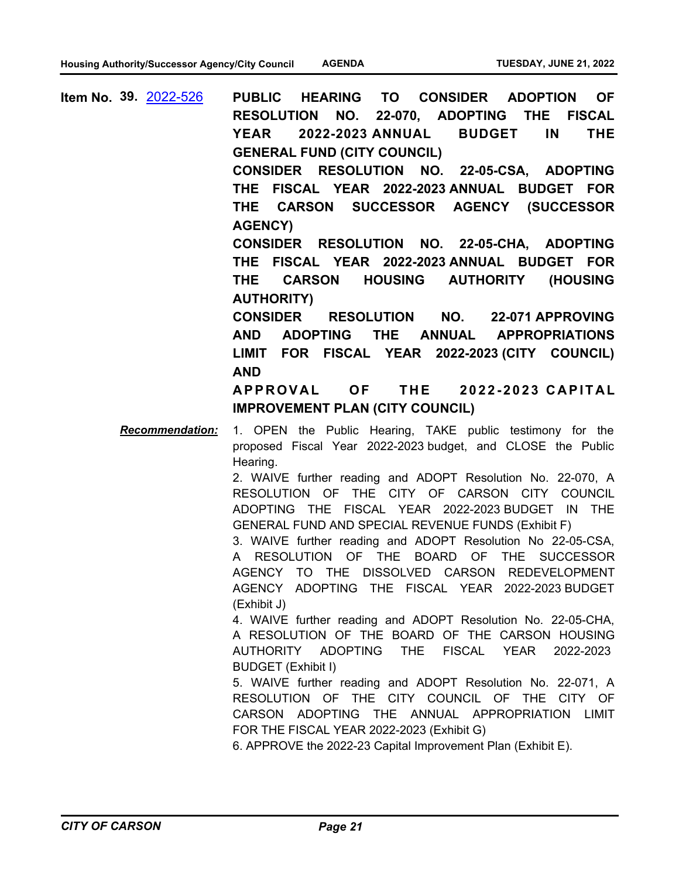**PUBLIC HEARING TO CONSIDER ADOPTION OF RESOLUTION NO. 22-070, ADOPTING THE FISCAL YEAR 2022-2023 ANNUAL BUDGET IN THE GENERAL FUND (CITY COUNCIL) CONSIDER RESOLUTION NO. 22-05-CSA, ADOPTING THE FISCAL YEAR 2022-2023 ANNUAL BUDGET FOR THE CARSON SUCCESSOR AGENCY (SUCCESSOR AGENCY) CONSIDER RESOLUTION NO. 22-05-CHA, ADOPTING THE FISCAL YEAR 2022-2023 ANNUAL BUDGET FOR THE CARSON HOUSING AUTHORITY (HOUSING AUTHORITY) CONSIDER RESOLUTION NO. 22-071 APPROVING AND ADOPTING THE ANNUAL APPROPRIATIONS LIMIT FOR FISCAL YEAR 2022-2023 (CITY COUNCIL) AND**  A P PROVAL OF THE 2022-2023 CAPITAL **IMPROVEMENT PLAN (CITY COUNCIL) Item No. 39.** [2022-526](http://carson.legistar.com/gateway.aspx?m=l&id=/matter.aspx?key=10457) *Recommendation:* 1. OPEN the Public Hearing, TAKE public testimony for the proposed Fiscal Year 2022-2023 budget, and CLOSE the Public Hearing. 2. WAIVE further reading and ADOPT Resolution No. 22-070, A RESOLUTION OF THE CITY OF CARSON CITY COUNCIL ADOPTING THE FISCAL YEAR 2022-2023 BUDGET IN THE GENERAL FUND AND SPECIAL REVENUE FUNDS (Exhibit F)

> 3. WAIVE further reading and ADOPT Resolution No 22-05-CSA, A RESOLUTION OF THE BOARD OF THE SUCCESSOR AGENCY TO THE DISSOLVED CARSON REDEVELOPMENT AGENCY ADOPTING THE FISCAL YEAR 2022-2023 BUDGET (Exhibit J)

> 4. WAIVE further reading and ADOPT Resolution No. 22-05-CHA, A RESOLUTION OF THE BOARD OF THE CARSON HOUSING AUTHORITY ADOPTING THE FISCAL YEAR 2022-2023 BUDGET (Exhibit I)

> 5. WAIVE further reading and ADOPT Resolution No. 22-071, A RESOLUTION OF THE CITY COUNCIL OF THE CITY OF CARSON ADOPTING THE ANNUAL APPROPRIATION LIMIT FOR THE FISCAL YEAR 2022-2023 (Exhibit G)

6. APPROVE the 2022-23 Capital Improvement Plan (Exhibit E).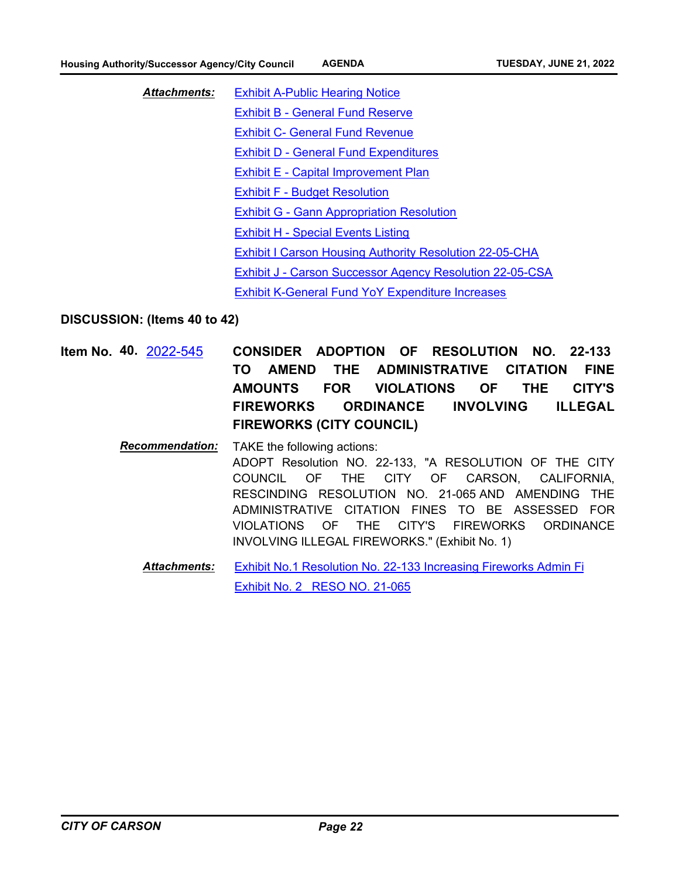[Exhibit A-Public Hearing Notice](http://carson.legistar.com/gateway.aspx?M=F&ID=9ba7f144-688a-45c1-bb1a-fa2af1e01a7c.pdf) [Exhibit B - General Fund Reserve](http://carson.legistar.com/gateway.aspx?M=F&ID=3e98302d-dadf-4b99-a875-e3312ed6be8c.pdf) [Exhibit C- General Fund Revenue](http://carson.legistar.com/gateway.aspx?M=F&ID=a0e630f9-9193-4c7c-8153-6f0f8adecca8.pdf) [Exhibit D - General Fund Expenditures](http://carson.legistar.com/gateway.aspx?M=F&ID=a9727b2d-8dfd-403c-aa89-f2ad4c3df252.pdf) [Exhibit E - Capital Improvement Plan](http://carson.legistar.com/gateway.aspx?M=F&ID=60d02f46-63af-42d9-9172-866443782078.pdf) [Exhibit F - Budget Resolution](http://carson.legistar.com/gateway.aspx?M=F&ID=5dd0a508-bd3f-492d-bc09-5a57097dc644.pdf) [Exhibit G - Gann Appropriation Resolution](http://carson.legistar.com/gateway.aspx?M=F&ID=31ac3fec-8101-4d26-a2e6-d76cee09b414.pdf) [Exhibit H - Special Events Listing](http://carson.legistar.com/gateway.aspx?M=F&ID=6f040c3c-f3ef-4131-9f16-9f80637af27f.pdf) [Exhibit I Carson Housing Authority Resolution 22-05-CHA](http://carson.legistar.com/gateway.aspx?M=F&ID=21645b02-3741-49ce-923f-fc6b218835b8.pdf) [Exhibit J - Carson Successor Agency Resolution 22-05-CSA](http://carson.legistar.com/gateway.aspx?M=F&ID=e55fcfd7-de33-4188-b42a-2d3bb4e2fdf8.pdf) [Exhibit K-General Fund YoY Expenditure Increases](http://carson.legistar.com/gateway.aspx?M=F&ID=22745e6f-248f-4d9f-824b-a040da3a12b2.pdf) *Attachments:*

**DISCUSSION: (Items 40 to 42)**

- **CONSIDER ADOPTION OF RESOLUTION NO. 22-133 TO AMEND THE ADMINISTRATIVE CITATION FINE AMOUNTS FOR VIOLATIONS OF THE CITY'S FIREWORKS ORDINANCE INVOLVING ILLEGAL FIREWORKS (CITY COUNCIL) Item No. 40.** [2022-545](http://carson.legistar.com/gateway.aspx?m=l&id=/matter.aspx?key=10476)
	- *Recommendation:* TAKE the following actions: ADOPT Resolution NO. 22-133, "A RESOLUTION OF THE CITY COUNCIL OF THE CITY OF CARSON, CALIFORNIA, RESCINDING RESOLUTION NO. 21-065 AND AMENDING THE ADMINISTRATIVE CITATION FINES TO BE ASSESSED FOR VIOLATIONS OF THE CITY'S FIREWORKS ORDINANCE INVOLVING ILLEGAL FIREWORKS." (Exhibit No. 1)
		- [Exhibit No.1 Resolution No. 22-133 Increasing Fireworks Admin Fi](http://carson.legistar.com/gateway.aspx?M=F&ID=da6c48d4-6570-4e84-824b-0d8e8a30b7cf.pdf) [Exhibit No. 2\\_ RESO NO. 21-065](http://carson.legistar.com/gateway.aspx?M=F&ID=84686949-982d-4777-b3bd-ea9cb143eed9.pdf) *Attachments:*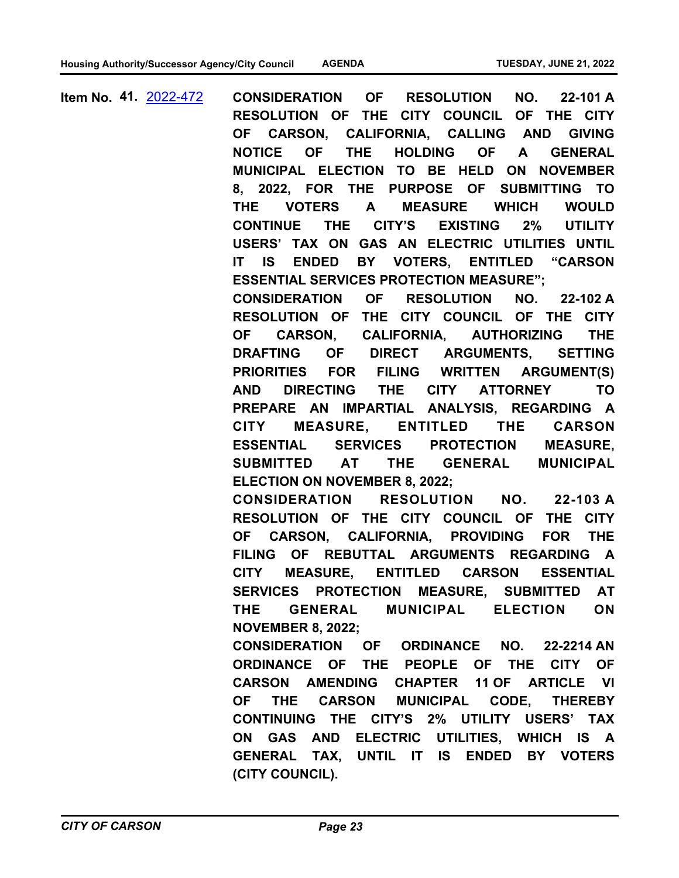**CONSIDERATION OF RESOLUTION NO. 22-101 A RESOLUTION OF THE CITY COUNCIL OF THE CITY OF CARSON, CALIFORNIA, CALLING AND GIVING NOTICE OF THE HOLDING OF A GENERAL MUNICIPAL ELECTION TO BE HELD ON NOVEMBER 8, 2022, FOR THE PURPOSE OF SUBMITTING TO THE VOTERS A MEASURE WHICH WOULD CONTINUE THE CITY'S EXISTING 2% UTILITY USERS' TAX ON GAS AN ELECTRIC UTILITIES UNTIL IT IS ENDED BY VOTERS, ENTITLED "CARSON ESSENTIAL SERVICES PROTECTION MEASURE"; CONSIDERATION OF RESOLUTION NO. 22-102 A RESOLUTION OF THE CITY COUNCIL OF THE CITY OF CARSON, CALIFORNIA, AUTHORIZING THE DRAFTING OF DIRECT ARGUMENTS, SETTING PRIORITIES FOR FILING WRITTEN ARGUMENT(S) AND DIRECTING THE CITY ATTORNEY TO PREPARE AN IMPARTIAL ANALYSIS, REGARDING A CITY MEASURE, ENTITLED THE CARSON ESSENTIAL SERVICES PROTECTION MEASURE, SUBMITTED AT THE GENERAL MUNICIPAL ELECTION ON NOVEMBER 8, 2022; CONSIDERATION RESOLUTION NO. 22-103 A RESOLUTION OF THE CITY COUNCIL OF THE CITY OF CARSON, CALIFORNIA, PROVIDING FOR THE FILING OF REBUTTAL ARGUMENTS REGARDING A CITY MEASURE, ENTITLED CARSON ESSENTIAL SERVICES PROTECTION MEASURE, SUBMITTED AT THE GENERAL MUNICIPAL ELECTION ON NOVEMBER 8, 2022; CONSIDERATION OF ORDINANCE NO. 22-2214 AN ORDINANCE OF THE PEOPLE OF THE CITY OF CARSON AMENDING CHAPTER 11 OF ARTICLE VI OF THE CARSON MUNICIPAL CODE, THEREBY CONTINUING THE CITY'S 2% UTILITY USERS' TAX ON GAS AND ELECTRIC UTILITIES, WHICH IS A GENERAL TAX, UNTIL IT IS ENDED BY VOTERS (CITY COUNCIL). Item No. 41.** [2022-472](http://carson.legistar.com/gateway.aspx?m=l&id=/matter.aspx?key=10403)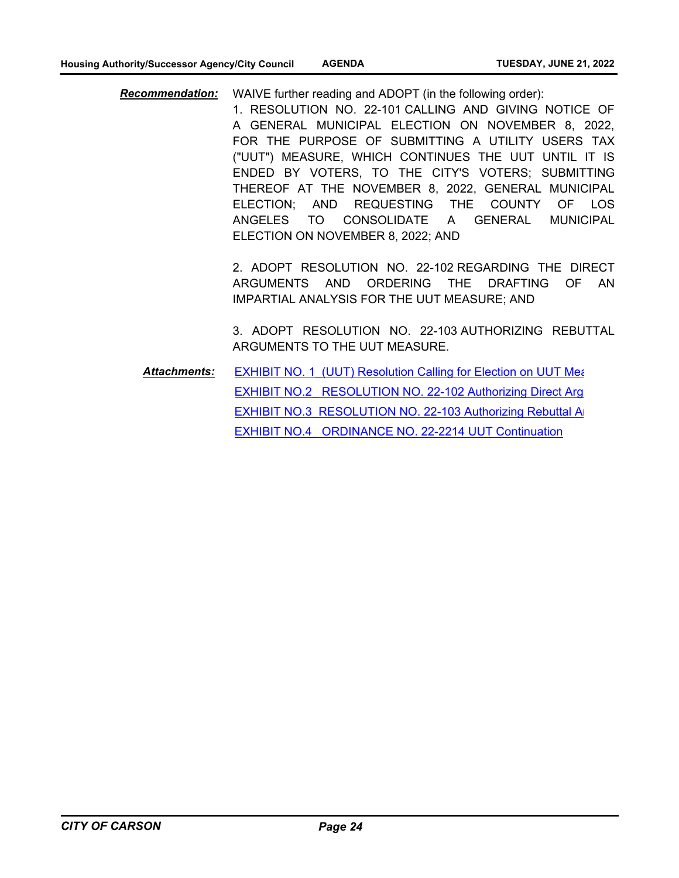*Recommendation:* WAIVE further reading and ADOPT (in the following order):

1. RESOLUTION NO. 22-101 CALLING AND GIVING NOTICE OF A GENERAL MUNICIPAL ELECTION ON NOVEMBER 8, 2022, FOR THE PURPOSE OF SUBMITTING A UTILITY USERS TAX ("UUT") MEASURE, WHICH CONTINUES THE UUT UNTIL IT IS ENDED BY VOTERS, TO THE CITY'S VOTERS; SUBMITTING THEREOF AT THE NOVEMBER 8, 2022, GENERAL MUNICIPAL ELECTION; AND REQUESTING THE COUNTY OF LOS ANGELES TO CONSOLIDATE A GENERAL MUNICIPAL ELECTION ON NOVEMBER 8, 2022; AND

2. ADOPT RESOLUTION NO. 22-102 REGARDING THE DIRECT ARGUMENTS AND ORDERING THE DRAFTING OF AN IMPARTIAL ANALYSIS FOR THE UUT MEASURE; AND

3. ADOPT RESOLUTION NO. 22-103 AUTHORIZING REBUTTAL ARGUMENTS TO THE UUT MEASURE.

EXHIBIT NO. 1 (UUT) Resolution Calling for Election on UUT Measure 2014 EXHIBIT NO.2 RESOLUTION NO. 22-102 Authorizing Direct Arg EXHIBIT NO.3 RESOLUTION NO. 22-103 Authorizing Rebuttal Arguments research [EXHIBIT NO.4\\_ ORDINANCE NO. 22-2214 UUT Continuation](http://carson.legistar.com/gateway.aspx?M=F&ID=e33ec1f6-9a9f-4b25-851f-a2005a9a7983.pdf) *Attachments:*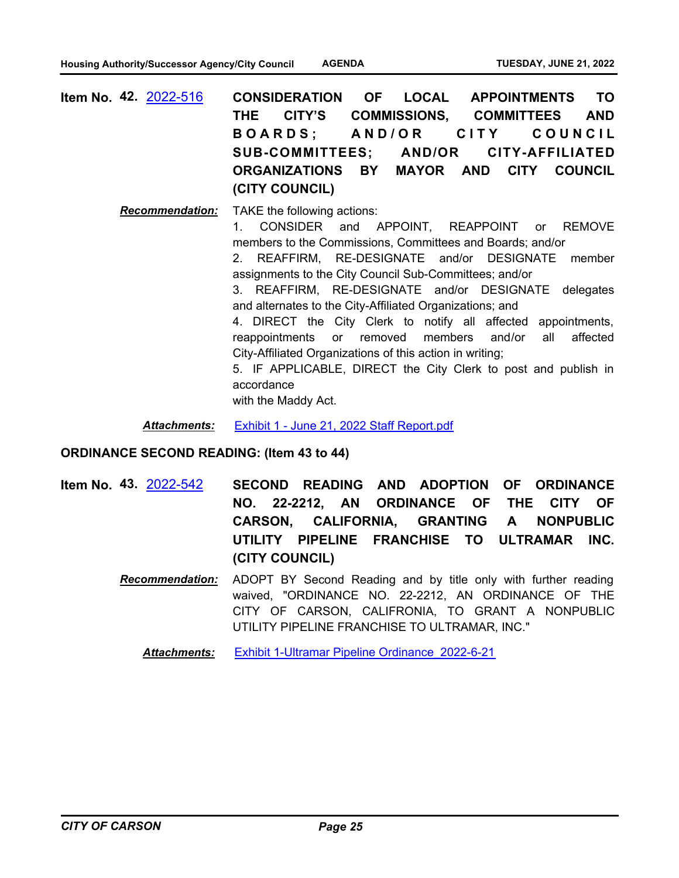| <b>Item No. 42. 2022-516</b> | CONSIDERATION OF LOCAL APPOINTMENTS TO                       |  |  |  |
|------------------------------|--------------------------------------------------------------|--|--|--|
|                              | THE CITY'S COMMISSIONS, COMMITTEES AND                       |  |  |  |
|                              | BOARDS; AND/OR CITY COUNCIL                                  |  |  |  |
|                              | SUB-COMMITTEES; AND/OR CITY-AFFILIATED                       |  |  |  |
|                              | ORGANIZATIONS BY MAYOR AND CITY COUNCIL                      |  |  |  |
|                              | (CITY COUNCIL)                                               |  |  |  |
|                              | $D$ esamusandetism: $T$ AI/ $\Gamma$ the following satisface |  |  |  |

*Recommendation:* TAKE the following actions: 1. CONSIDER and APPOINT, REAPPOINT or REMOVE members to the Commissions, Committees and Boards; and/or 2. REAFFIRM, RE-DESIGNATE and/or DESIGNATE member assignments to the City Council Sub-Committees; and/or 3. REAFFIRM, RE-DESIGNATE and/or DESIGNATE delegates and alternates to the City-Affiliated Organizations; and 4. DIRECT the City Clerk to notify all affected appointments, reappointments or removed members and/or all affected City-Affiliated Organizations of this action in writing; 5. IF APPLICABLE, DIRECT the City Clerk to post and publish in accordance with the Maddy Act.

*Attachments:* [Exhibit 1 - June 21, 2022 Staff Report.pdf](http://carson.legistar.com/gateway.aspx?M=F&ID=60161a07-3f61-4a9e-8ead-5b51582f84fd.pdf)

#### **ORDINANCE SECOND READING: (Item 43 to 44)**

- **SECOND READING AND ADOPTION OF ORDINANCE NO. 22-2212, AN ORDINANCE OF THE CITY OF CARSON, CALIFORNIA, GRANTING A NONPUBLIC UTILITY PIPELINE FRANCHISE TO ULTRAMAR INC. (CITY COUNCIL) Item No. 43.** [2022-542](http://carson.legistar.com/gateway.aspx?m=l&id=/matter.aspx?key=10473)
	- *Recommendation:* ADOPT BY Second Reading and by title only with further reading waived, "ORDINANCE NO. 22-2212, AN ORDINANCE OF THE CITY OF CARSON, CALIFRONIA, TO GRANT A NONPUBLIC UTILITY PIPELINE FRANCHISE TO ULTRAMAR, INC."

*Attachments:* [Exhibit 1-Ultramar Pipeline Ordinance\\_2022-6-21](http://carson.legistar.com/gateway.aspx?M=F&ID=bb0236c7-f2d6-44cb-91e2-ba60574529b4.pdf)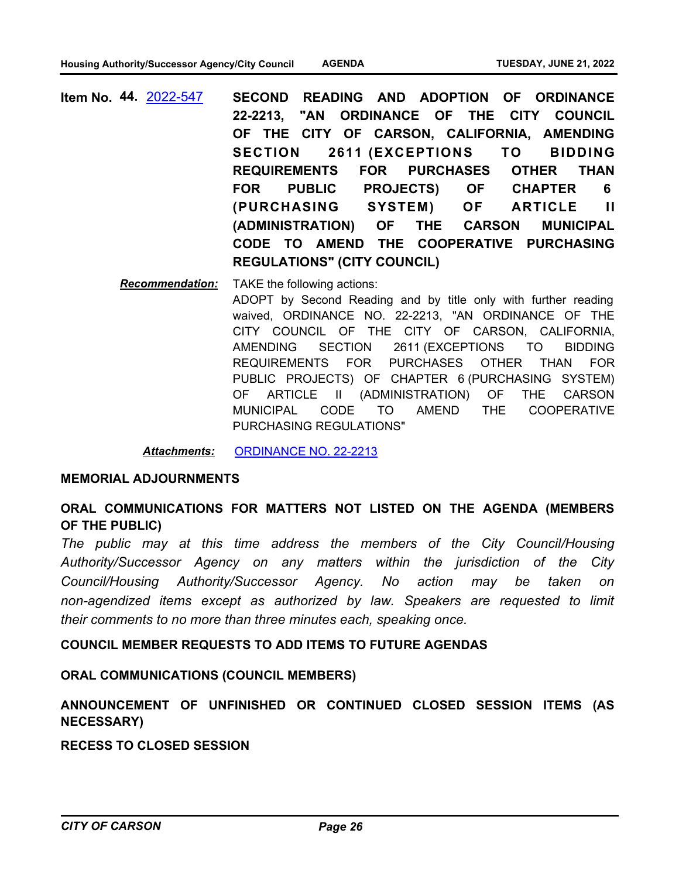**SECOND READING AND ADOPTION OF ORDINANCE 22-2213, "AN ORDINANCE OF THE CITY COUNCIL OF THE CITY OF CARSON, CALIFORNIA, AMENDING SECTION 2611 (EXCEPTIONS TO BIDDING REQUIREMENTS FOR PURCHASES OTHER THAN FOR PUBLIC PROJECTS) OF CHAPTER 6 (PURCHASING SYSTEM) OF ARTICLE II (ADMINISTRATION) OF THE CARSON MUNICIPAL CODE TO AMEND THE COOPERATIVE PURCHASING REGULATIONS" (CITY COUNCIL) Item No. 44.** [2022-547](http://carson.legistar.com/gateway.aspx?m=l&id=/matter.aspx?key=10478)

> *Recommendation:* TAKE the following actions: ADOPT by Second Reading and by title only with further reading waived, ORDINANCE NO. 22-2213, "AN ORDINANCE OF THE CITY COUNCIL OF THE CITY OF CARSON, CALIFORNIA, AMENDING SECTION 2611 (EXCEPTIONS TO BIDDING REQUIREMENTS FOR PURCHASES OTHER THAN FOR PUBLIC PROJECTS) OF CHAPTER 6 (PURCHASING SYSTEM) OF ARTICLE II (ADMINISTRATION) OF THE CARSON MUNICIPAL CODE TO AMEND THE COOPERATIVE PURCHASING REGULATIONS"

*Attachments:* [ORDINANCE NO. 22-2213](http://carson.legistar.com/gateway.aspx?M=F&ID=6fe215cc-da63-4f1b-a5f0-92b23d7b05e6.pdf)

#### **MEMORIAL ADJOURNMENTS**

### **ORAL COMMUNICATIONS FOR MATTERS NOT LISTED ON THE AGENDA (MEMBERS OF THE PUBLIC)**

*The public may at this time address the members of the City Council/Housing Authority/Successor Agency on any matters within the jurisdiction of the City Council/Housing Authority/Successor Agency. No action may be taken on*  non-agendized items except as authorized by law. Speakers are requested to limit *their comments to no more than three minutes each, speaking once.*

#### **COUNCIL MEMBER REQUESTS TO ADD ITEMS TO FUTURE AGENDAS**

#### **ORAL COMMUNICATIONS (COUNCIL MEMBERS)**

### **ANNOUNCEMENT OF UNFINISHED OR CONTINUED CLOSED SESSION ITEMS (AS NECESSARY)**

**RECESS TO CLOSED SESSION**